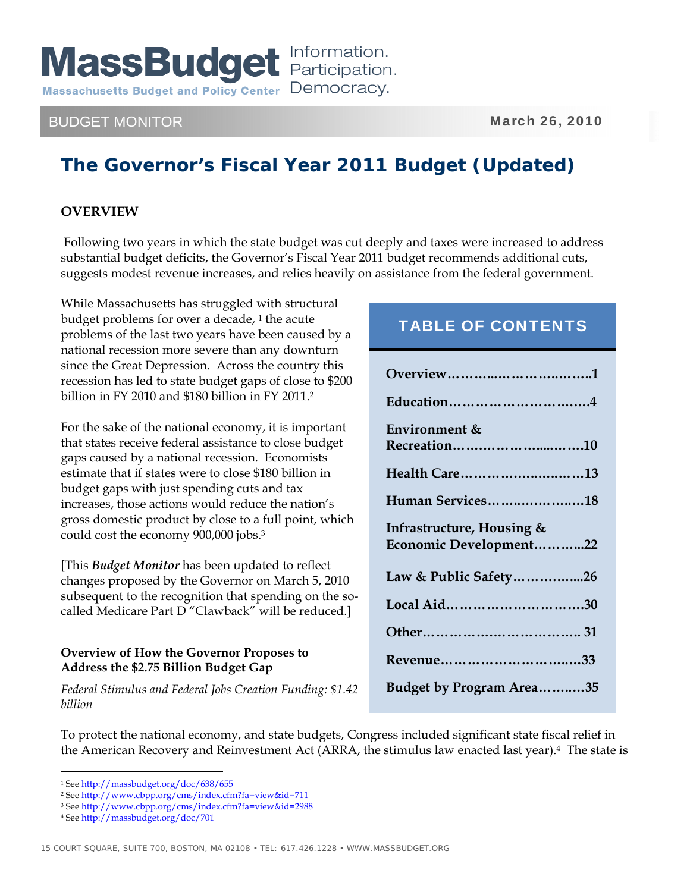## BUDGET MONITOR NEWSLET AND THE MARKET MONEY OF THE MARKET MARKET AND MARKET AND MARKET MONEY OF THE MARKET MARKET AND MARKET AND MARKET AND MARKET AND MARKET AND MARKET AND MARKET AND MARKET AND MARKET AND MARKET AND MARKE

# **The Governor's Fiscal Year 2011 Budget (Updated)**

### **OVERVIEW**

 Following two years in which the state budget was cut deeply and taxes were increased to address substantial budget deficits, the Governor's Fiscal Year 2011 budget recommends additional cuts, suggests modest revenue increases, and relies heavily on assistance from the federal government.

While Massachusetts has struggled with structural budget problems for over a decade,  $1$  the acute problems of the last two years have been caused by a national recession more severe than any downturn since the Great Depression. Across the country this recession has led to state budget gaps of close to \$200 billion in FY 2010 and \$180 billion in FY 2011.2

For the sake of the national economy, it is important that states receive federal assistance to close budget gaps caused by a national recession. Economists estimate that if states were to close \$180 billion in budget gaps with just spending cuts and tax increases, those actions would reduce the nation's gross domestic product by close to a full point, which could cost the economy 900,000 jobs.3

[This *Budget Monitor* has been updated to reflect changes proposed by the Governor on March 5, 2010 subsequent to the recognition that spending on the socalled Medicare Part D "Clawback" will be reduced.]

### **Overview of How the Governor Proposes to Address the \$2.75 Billion Budget Gap**

*Federal Stimulus and Federal Jobs Creation Funding: \$1.42 billion* 

# TABLE OF CONTENTS

| Education4                                          |
|-----------------------------------------------------|
| Environment &<br>Recreation10                       |
| Health Care13                                       |
| Human Services18                                    |
| Infrastructure, Housing &<br>Economic Development22 |
| Law & Public Safety26                               |
| Local Aid30                                         |
|                                                     |
| Revenue33                                           |
| Budget by Program Area35                            |

To protect the national economy, and state budgets, Congress included significant state fiscal relief in the American Recovery and Reinvestment Act (ARRA, the stimulus law enacted last year).4 The state is

 $\overline{a}$ 1 See http://massbudget.org/doc/638/655

<sup>2</sup> See http://www.cbpp.org/cms/index.cfm?fa=view&id=711

<sup>3</sup> See http://www.cbpp.org/cms/index.cfm?fa=view&id=2988

<sup>4</sup> See http://massbudget.org/doc/701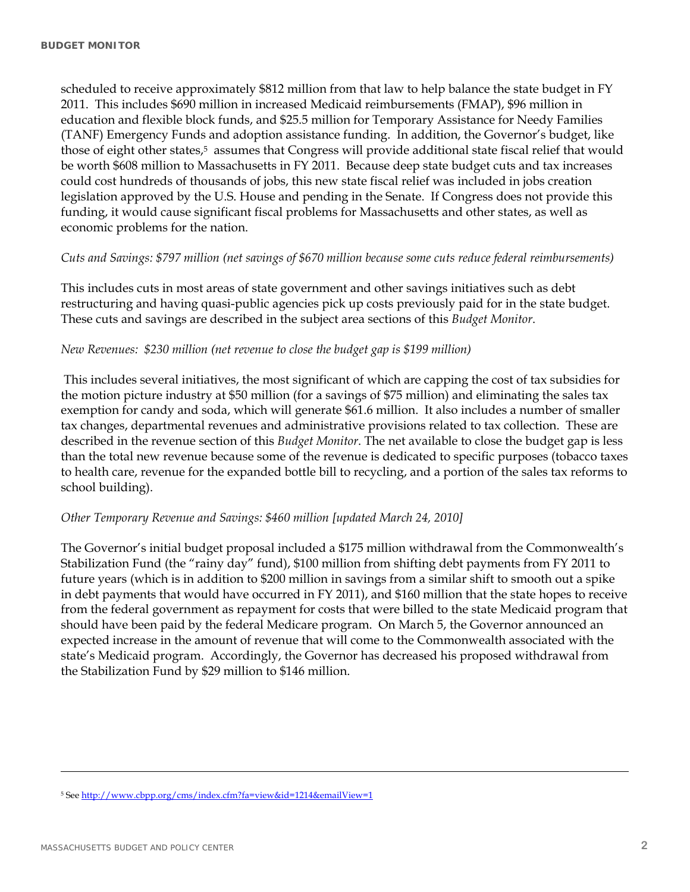scheduled to receive approximately \$812 million from that law to help balance the state budget in FY 2011. This includes \$690 million in increased Medicaid reimbursements (FMAP), \$96 million in education and flexible block funds, and \$25.5 million for Temporary Assistance for Needy Families (TANF) Emergency Funds and adoption assistance funding. In addition, the Governor's budget, like those of eight other states,<sup>5</sup> assumes that Congress will provide additional state fiscal relief that would be worth \$608 million to Massachusetts in FY 2011. Because deep state budget cuts and tax increases could cost hundreds of thousands of jobs, this new state fiscal relief was included in jobs creation legislation approved by the U.S. House and pending in the Senate. If Congress does not provide this funding, it would cause significant fiscal problems for Massachusetts and other states, as well as economic problems for the nation.

#### *Cuts and Savings: \$797 million (net savings of \$670 million because some cuts reduce federal reimbursements)*

This includes cuts in most areas of state government and other savings initiatives such as debt restructuring and having quasi-public agencies pick up costs previously paid for in the state budget. These cuts and savings are described in the subject area sections of this *Budget Monitor*.

#### *New Revenues: \$230 million (net revenue to close the budget gap is \$199 million)*

 This includes several initiatives, the most significant of which are capping the cost of tax subsidies for the motion picture industry at \$50 million (for a savings of \$75 million) and eliminating the sales tax exemption for candy and soda, which will generate \$61.6 million. It also includes a number of smaller tax changes, departmental revenues and administrative provisions related to tax collection. These are described in the revenue section of this *Budget Monitor*. The net available to close the budget gap is less than the total new revenue because some of the revenue is dedicated to specific purposes (tobacco taxes to health care, revenue for the expanded bottle bill to recycling, and a portion of the sales tax reforms to school building).

#### *Other Temporary Revenue and Savings: \$460 million [updated March 24, 2010]*

The Governor's initial budget proposal included a \$175 million withdrawal from the Commonwealth's Stabilization Fund (the "rainy day" fund), \$100 million from shifting debt payments from FY 2011 to future years (which is in addition to \$200 million in savings from a similar shift to smooth out a spike in debt payments that would have occurred in FY 2011), and \$160 million that the state hopes to receive from the federal government as repayment for costs that were billed to the state Medicaid program that should have been paid by the federal Medicare program. On March 5, the Governor announced an expected increase in the amount of revenue that will come to the Commonwealth associated with the state's Medicaid program. Accordingly, the Governor has decreased his proposed withdrawal from the Stabilization Fund by \$29 million to \$146 million.

 $\overline{a}$ 

<sup>5</sup> See http://www.cbpp.org/cms/index.cfm?fa=view&id=1214&emailView=1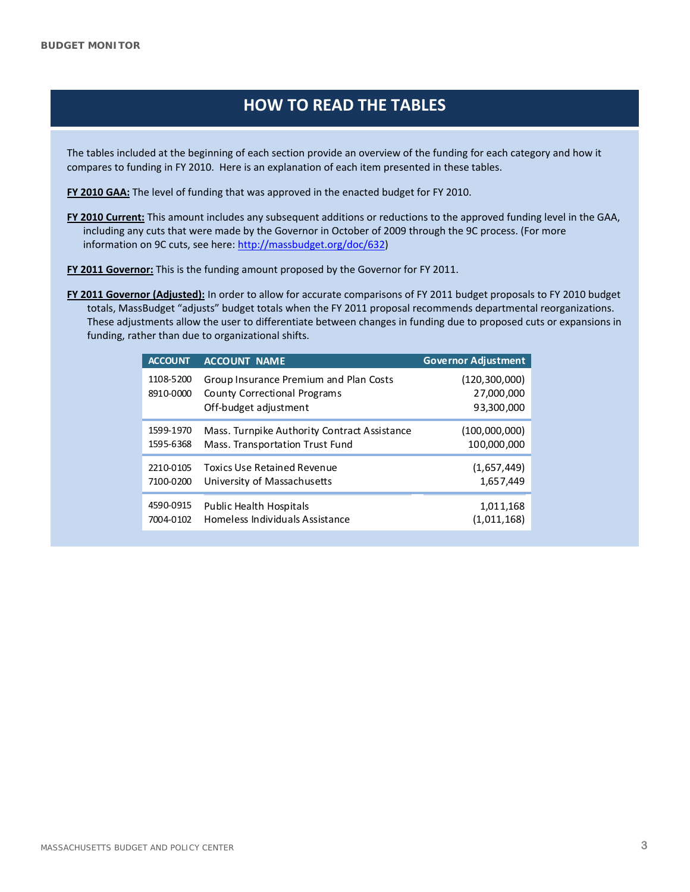# **HOW TO READ THE TABLES**

The tables included at the beginning of each section provide an overview of the funding for each category and how it compares to funding in FY 2010. Here is an explanation of each item presented in these tables.

**FY 2010 GAA:** The level of funding that was approved in the enacted budget for FY 2010.

**FY 2010 Current:** This amount includes any subsequent additions or reductions to the approved funding level in the GAA, including any cuts that were made by the Governor in October of 2009 through the 9C process. (For more information on 9C cuts, see here: [http://massbudget.org/doc/632\)](http://massbudget.org/doc/632)

**FY 2011 Governor:** This is the funding amount proposed by the Governor for FY 2011.

**FY 2011 Governor (Adjusted):** In order to allow for accurate comparisons of FY 2011 budget proposals to FY 2010 budget totals, MassBudget "adjusts" budget totals when the FY 2011 proposal recommends departmental reorganizations. These adjustments allow the user to differentiate between changes in funding due to proposed cuts or expansions in funding, rather than due to organizational shifts.

| <b>ACCOUNT</b>         | <b>ACCOUNT NAME</b>                                                                             | <b>Governor Adjustment</b>                  |
|------------------------|-------------------------------------------------------------------------------------------------|---------------------------------------------|
| 1108-5200<br>8910-0000 | Group Insurance Premium and Plan Costs<br>County Correctional Programs<br>Off-budget adjustment | (120, 300, 000)<br>27,000,000<br>93,300,000 |
| 1599-1970              | Mass. Turnpike Authority Contract Assistance                                                    | (100,000,000)                               |
| 1595-6368              | Mass. Transportation Trust Fund                                                                 | 100,000,000                                 |
| 2210-0105              | Toxics Use Retained Revenue                                                                     | (1,657,449)                                 |
| 7100-0200              | University of Massachusetts                                                                     | 1,657,449                                   |
| 4590-0915              | Public Health Hospitals                                                                         | 1,011,168                                   |
| 7004-0102              | Homeless Individuals Assistance                                                                 | (1,011,168)                                 |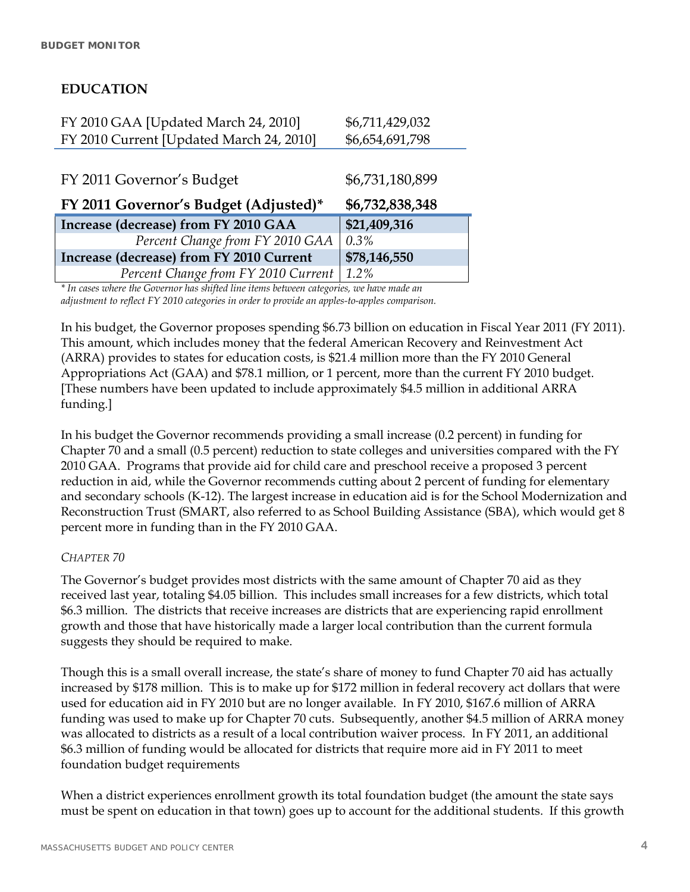### **EDUCATION**

| FY 2010 GAA [Updated March 24, 2010]     | \$6,711,429,032 |
|------------------------------------------|-----------------|
| FY 2010 Current [Updated March 24, 2010] | \$6,654,691,798 |
|                                          |                 |
| FY 2011 Governor's Budget                | \$6,731,180,899 |
|                                          | \$6,732,838,348 |
| FY 2011 Governor's Budget (Adjusted)*    |                 |
| Increase (decrease) from FY 2010 GAA     | \$21,409,316    |
| Percent Change from FY 2010 GAA          | $0.3\%$         |
| Increase (decrease) from FY 2010 Current | \$78,146,550    |

*\* In cases where the Governor has shifted line items between categories, we have made an adjustment to reflect FY 2010 categories in order to provide an apples-to-apples comparison.* 

In his budget, the Governor proposes spending \$6.73 billion on education in Fiscal Year 2011 (FY 2011). This amount, which includes money that the federal American Recovery and Reinvestment Act (ARRA) provides to states for education costs, is \$21.4 million more than the FY 2010 General Appropriations Act (GAA) and \$78.1 million, or 1 percent, more than the current FY 2010 budget. [These numbers have been updated to include approximately \$4.5 million in additional ARRA funding.]

In his budget the Governor recommends providing a small increase (0.2 percent) in funding for Chapter 70 and a small (0.5 percent) reduction to state colleges and universities compared with the FY 2010 GAA. Programs that provide aid for child care and preschool receive a proposed 3 percent reduction in aid, while the Governor recommends cutting about 2 percent of funding for elementary and secondary schools (K-12). The largest increase in education aid is for the School Modernization and Reconstruction Trust (SMART, also referred to as School Building Assistance (SBA), which would get 8 percent more in funding than in the FY 2010 GAA.

### *CHAPTER 70*

The Governor's budget provides most districts with the same amount of Chapter 70 aid as they received last year, totaling \$4.05 billion. This includes small increases for a few districts, which total \$6.3 million. The districts that receive increases are districts that are experiencing rapid enrollment growth and those that have historically made a larger local contribution than the current formula suggests they should be required to make.

Though this is a small overall increase, the state's share of money to fund Chapter 70 aid has actually increased by \$178 million. This is to make up for \$172 million in federal recovery act dollars that were used for education aid in FY 2010 but are no longer available. In FY 2010, \$167.6 million of ARRA funding was used to make up for Chapter 70 cuts. Subsequently, another \$4.5 million of ARRA money was allocated to districts as a result of a local contribution waiver process. In FY 2011, an additional \$6.3 million of funding would be allocated for districts that require more aid in FY 2011 to meet foundation budget requirements

When a district experiences enrollment growth its total foundation budget (the amount the state says must be spent on education in that town) goes up to account for the additional students. If this growth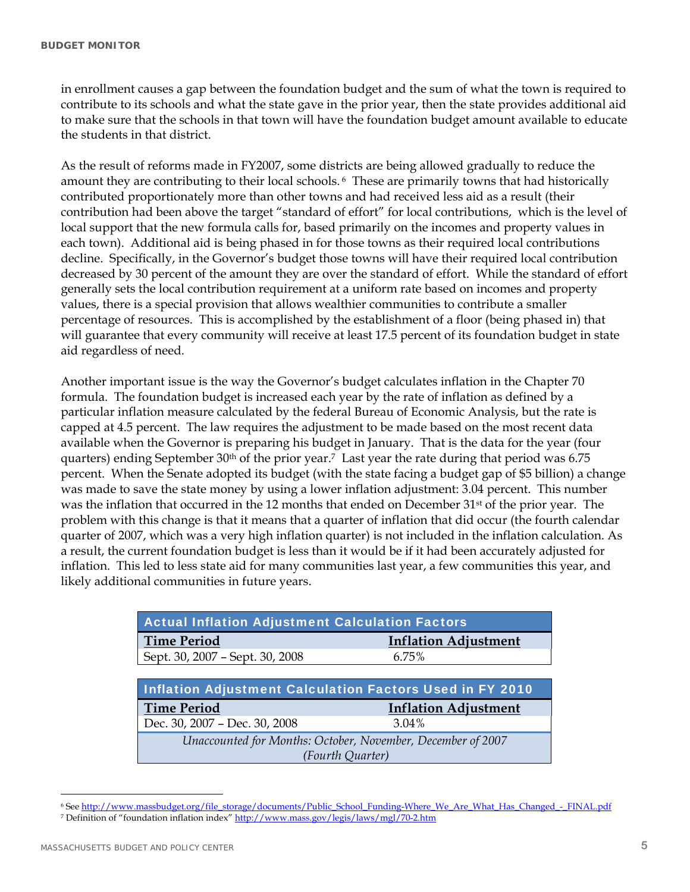in enrollment causes a gap between the foundation budget and the sum of what the town is required to contribute to its schools and what the state gave in the prior year, then the state provides additional aid to make sure that the schools in that town will have the foundation budget amount available to educate the students in that district.

As the result of reforms made in FY2007, some districts are being allowed gradually to reduce the amount they are contributing to their local schools. 6 These are primarily towns that had historically contributed proportionately more than other towns and had received less aid as a result (their contribution had been above the target "standard of effort" for local contributions, which is the level of local support that the new formula calls for, based primarily on the incomes and property values in each town). Additional aid is being phased in for those towns as their required local contributions decline. Specifically, in the Governor's budget those towns will have their required local contribution decreased by 30 percent of the amount they are over the standard of effort. While the standard of effort generally sets the local contribution requirement at a uniform rate based on incomes and property values, there is a special provision that allows wealthier communities to contribute a smaller percentage of resources. This is accomplished by the establishment of a floor (being phased in) that will guarantee that every community will receive at least 17.5 percent of its foundation budget in state aid regardless of need.

Another important issue is the way the Governor's budget calculates inflation in the Chapter 70 formula. The foundation budget is increased each year by the rate of inflation as defined by a particular inflation measure calculated by the federal Bureau of Economic Analysis, but the rate is capped at 4.5 percent. The law requires the adjustment to be made based on the most recent data available when the Governor is preparing his budget in January. That is the data for the year (four quarters) ending September  $30<sup>th</sup>$  of the prior year.<sup>7</sup> Last year the rate during that period was 6.75 percent. When the Senate adopted its budget (with the state facing a budget gap of \$5 billion) a change was made to save the state money by using a lower inflation adjustment: 3.04 percent. This number was the inflation that occurred in the 12 months that ended on December 31<sup>st</sup> of the prior year. The problem with this change is that it means that a quarter of inflation that did occur (the fourth calendar quarter of 2007, which was a very high inflation quarter) is not included in the inflation calculation. As a result, the current foundation budget is less than it would be if it had been accurately adjusted for inflation. This led to less state aid for many communities last year, a few communities this year, and likely additional communities in future years.

| <b>Actual Inflation Adjustment Calculation Factors</b>          |                             |
|-----------------------------------------------------------------|-----------------------------|
| <b>Time Period</b>                                              | <b>Inflation Adjustment</b> |
| Sept. 30, 2007 - Sept. 30, 2008                                 | 6.75%                       |
|                                                                 |                             |
| <b>Inflation Adjustment Calculation Factors Used in FY 2010</b> |                             |
| <b>Time Period</b>                                              | <b>Inflation Adjustment</b> |
| Dec. 30, 2007 - Dec. 30, 2008                                   | 3.04%                       |
| Unaccounted for Months: October, November, December of 2007     |                             |
|                                                                 |                             |

<sup>6</sup> See http://www.massbudget.org/file\_storage/documents/Public\_School\_Funding-Where\_We\_Are\_What\_Has\_Changed\_-\_FINAL.pdf

 $\overline{a}$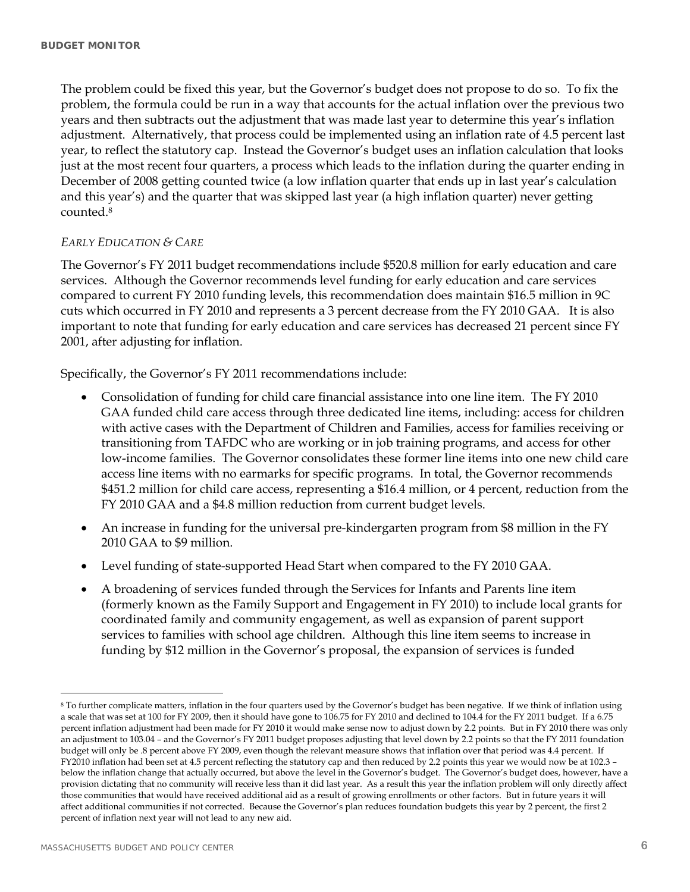The problem could be fixed this year, but the Governor's budget does not propose to do so. To fix the problem, the formula could be run in a way that accounts for the actual inflation over the previous two years and then subtracts out the adjustment that was made last year to determine this year's inflation adjustment. Alternatively, that process could be implemented using an inflation rate of 4.5 percent last year, to reflect the statutory cap. Instead the Governor's budget uses an inflation calculation that looks just at the most recent four quarters, a process which leads to the inflation during the quarter ending in December of 2008 getting counted twice (a low inflation quarter that ends up in last year's calculation and this year's) and the quarter that was skipped last year (a high inflation quarter) never getting counted.8

#### *EARLY EDUCATION & CARE*

The Governor's FY 2011 budget recommendations include \$520.8 million for early education and care services. Although the Governor recommends level funding for early education and care services compared to current FY 2010 funding levels, this recommendation does maintain \$16.5 million in 9C cuts which occurred in FY 2010 and represents a 3 percent decrease from the FY 2010 GAA. It is also important to note that funding for early education and care services has decreased 21 percent since FY 2001, after adjusting for inflation.

Specifically, the Governor's FY 2011 recommendations include:

- Consolidation of funding for child care financial assistance into one line item. The FY 2010 GAA funded child care access through three dedicated line items, including: access for children with active cases with the Department of Children and Families, access for families receiving or transitioning from TAFDC who are working or in job training programs, and access for other low-income families. The Governor consolidates these former line items into one new child care access line items with no earmarks for specific programs. In total, the Governor recommends \$451.2 million for child care access, representing a \$16.4 million, or 4 percent, reduction from the FY 2010 GAA and a \$4.8 million reduction from current budget levels.
- An increase in funding for the universal pre-kindergarten program from \$8 million in the FY 2010 GAA to \$9 million.
- Level funding of state-supported Head Start when compared to the FY 2010 GAA.
- A broadening of services funded through the Services for Infants and Parents line item (formerly known as the Family Support and Engagement in FY 2010) to include local grants for coordinated family and community engagement, as well as expansion of parent support services to families with school age children. Although this line item seems to increase in funding by \$12 million in the Governor's proposal, the expansion of services is funded

 $\overline{a}$ 

<sup>&</sup>lt;sup>8</sup> To further complicate matters, inflation in the four quarters used by the Governor's budget has been negative. If we think of inflation using a scale that was set at 100 for FY 2009, then it should have gone to 106.75 for FY 2010 and declined to 104.4 for the FY 2011 budget. If a 6.75 percent inflation adjustment had been made for FY 2010 it would make sense now to adjust down by 2.2 points. But in FY 2010 there was only an adjustment to 103.04 – and the Governor's FY 2011 budget proposes adjusting that level down by 2.2 points so that the FY 2011 foundation budget will only be .8 percent above FY 2009, even though the relevant measure shows that inflation over that period was 4.4 percent. If FY2010 inflation had been set at 4.5 percent reflecting the statutory cap and then reduced by 2.2 points this year we would now be at 102.3 – below the inflation change that actually occurred, but above the level in the Governor's budget. The Governor's budget does, however, have a provision dictating that no community will receive less than it did last year. As a result this year the inflation problem will only directly affect those communities that would have received additional aid as a result of growing enrollments or other factors. But in future years it will affect additional communities if not corrected. Because the Governor's plan reduces foundation budgets this year by 2 percent, the first 2 percent of inflation next year will not lead to any new aid.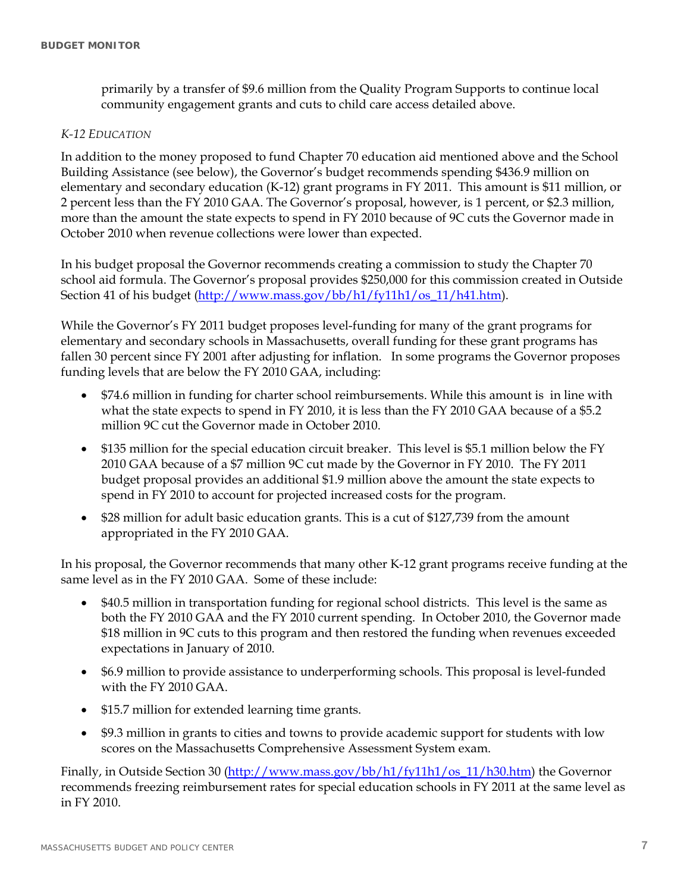primarily by a transfer of \$9.6 million from the Quality Program Supports to continue local community engagement grants and cuts to child care access detailed above.

#### *K-12 EDUCATION*

In addition to the money proposed to fund Chapter 70 education aid mentioned above and the School Building Assistance (see below), the Governor's budget recommends spending \$436.9 million on elementary and secondary education (K-12) grant programs in FY 2011. This amount is \$11 million, or 2 percent less than the FY 2010 GAA. The Governor's proposal, however, is 1 percent, or \$2.3 million, more than the amount the state expects to spend in FY 2010 because of 9C cuts the Governor made in October 2010 when revenue collections were lower than expected.

In his budget proposal the Governor recommends creating a commission to study the Chapter 70 school aid formula. The Governor's proposal provides \$250,000 for this commission created in Outside Section 41 of his budget (http://www.mass.gov/bb/h1/fy11h1/os\_11/h41.htm).

While the Governor's FY 2011 budget proposes level-funding for many of the grant programs for elementary and secondary schools in Massachusetts, overall funding for these grant programs has fallen 30 percent since FY 2001 after adjusting for inflation. In some programs the Governor proposes funding levels that are below the FY 2010 GAA, including:

- \$74.6 million in funding for charter school reimbursements. While this amount is in line with what the state expects to spend in FY 2010, it is less than the FY 2010 GAA because of a \$5.2 million 9C cut the Governor made in October 2010.
- \$135 million for the special education circuit breaker. This level is \$5.1 million below the FY 2010 GAA because of a \$7 million 9C cut made by the Governor in FY 2010. The FY 2011 budget proposal provides an additional \$1.9 million above the amount the state expects to spend in FY 2010 to account for projected increased costs for the program.
- \$28 million for adult basic education grants. This is a cut of \$127,739 from the amount appropriated in the FY 2010 GAA.

In his proposal, the Governor recommends that many other K-12 grant programs receive funding at the same level as in the FY 2010 GAA. Some of these include:

- \$40.5 million in transportation funding for regional school districts. This level is the same as both the FY 2010 GAA and the FY 2010 current spending. In October 2010, the Governor made \$18 million in 9C cuts to this program and then restored the funding when revenues exceeded expectations in January of 2010.
- \$6.9 million to provide assistance to underperforming schools. This proposal is level-funded with the FY 2010 GAA.
- \$15.7 million for extended learning time grants.
- \$9.3 million in grants to cities and towns to provide academic support for students with low scores on the Massachusetts Comprehensive Assessment System exam.

Finally, in Outside Section 30 (http://www.mass.gov/bb/h1/fy11h1/os\_11/h30.htm) the Governor recommends freezing reimbursement rates for special education schools in FY 2011 at the same level as in FY 2010.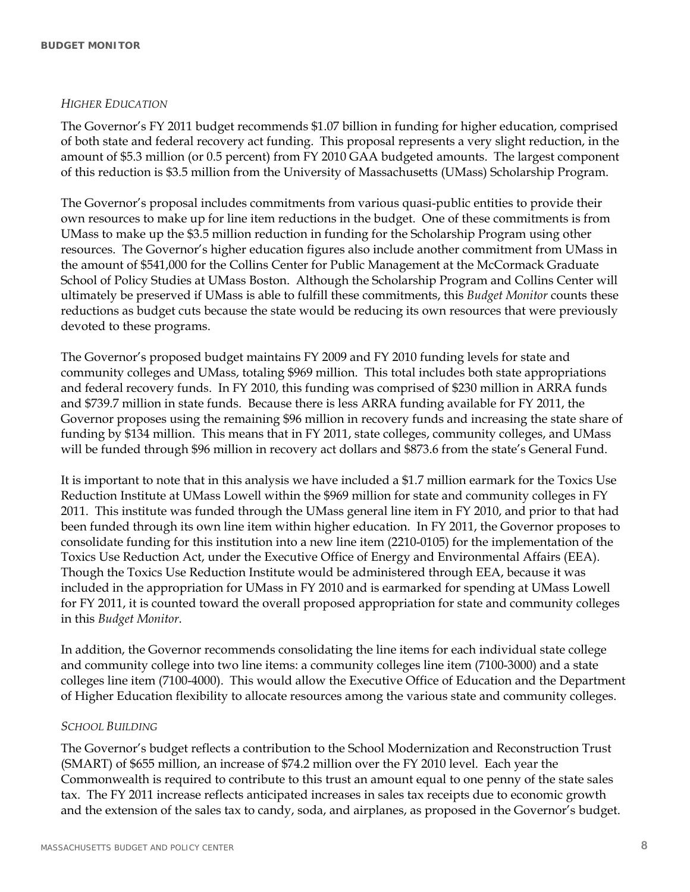#### *HIGHER EDUCATION*

The Governor's FY 2011 budget recommends \$1.07 billion in funding for higher education, comprised of both state and federal recovery act funding. This proposal represents a very slight reduction, in the amount of \$5.3 million (or 0.5 percent) from FY 2010 GAA budgeted amounts. The largest component of this reduction is \$3.5 million from the University of Massachusetts (UMass) Scholarship Program.

The Governor's proposal includes commitments from various quasi-public entities to provide their own resources to make up for line item reductions in the budget. One of these commitments is from UMass to make up the \$3.5 million reduction in funding for the Scholarship Program using other resources. The Governor's higher education figures also include another commitment from UMass in the amount of \$541,000 for the Collins Center for Public Management at the McCormack Graduate School of Policy Studies at UMass Boston. Although the Scholarship Program and Collins Center will ultimately be preserved if UMass is able to fulfill these commitments, this *Budget Monitor* counts these reductions as budget cuts because the state would be reducing its own resources that were previously devoted to these programs.

The Governor's proposed budget maintains FY 2009 and FY 2010 funding levels for state and community colleges and UMass, totaling \$969 million. This total includes both state appropriations and federal recovery funds. In FY 2010, this funding was comprised of \$230 million in ARRA funds and \$739.7 million in state funds. Because there is less ARRA funding available for FY 2011, the Governor proposes using the remaining \$96 million in recovery funds and increasing the state share of funding by \$134 million. This means that in FY 2011, state colleges, community colleges, and UMass will be funded through \$96 million in recovery act dollars and \$873.6 from the state's General Fund.

It is important to note that in this analysis we have included a \$1.7 million earmark for the Toxics Use Reduction Institute at UMass Lowell within the \$969 million for state and community colleges in FY 2011. This institute was funded through the UMass general line item in FY 2010, and prior to that had been funded through its own line item within higher education. In FY 2011, the Governor proposes to consolidate funding for this institution into a new line item (2210-0105) for the implementation of the Toxics Use Reduction Act, under the Executive Office of Energy and Environmental Affairs (EEA). Though the Toxics Use Reduction Institute would be administered through EEA, because it was included in the appropriation for UMass in FY 2010 and is earmarked for spending at UMass Lowell for FY 2011, it is counted toward the overall proposed appropriation for state and community colleges in this *Budget Monitor*.

In addition, the Governor recommends consolidating the line items for each individual state college and community college into two line items: a community colleges line item (7100-3000) and a state colleges line item (7100-4000). This would allow the Executive Office of Education and the Department of Higher Education flexibility to allocate resources among the various state and community colleges.

#### *SCHOOL BUILDING*

The Governor's budget reflects a contribution to the School Modernization and Reconstruction Trust (SMART) of \$655 million, an increase of \$74.2 million over the FY 2010 level. Each year the Commonwealth is required to contribute to this trust an amount equal to one penny of the state sales tax. The FY 2011 increase reflects anticipated increases in sales tax receipts due to economic growth and the extension of the sales tax to candy, soda, and airplanes, as proposed in the Governor's budget.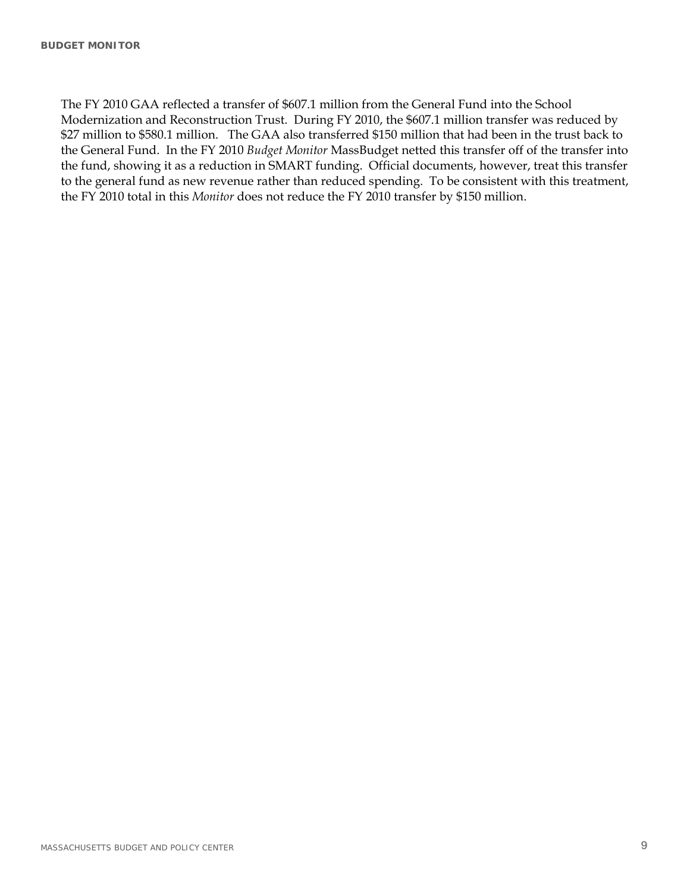The FY 2010 GAA reflected a transfer of \$607.1 million from the General Fund into the School Modernization and Reconstruction Trust. During FY 2010, the \$607.1 million transfer was reduced by \$27 million to \$580.1 million. The GAA also transferred \$150 million that had been in the trust back to the General Fund. In the FY 2010 *Budget Monitor* MassBudget netted this transfer off of the transfer into the fund, showing it as a reduction in SMART funding. Official documents, however, treat this transfer to the general fund as new revenue rather than reduced spending. To be consistent with this treatment, the FY 2010 total in this *Monitor* does not reduce the FY 2010 transfer by \$150 million.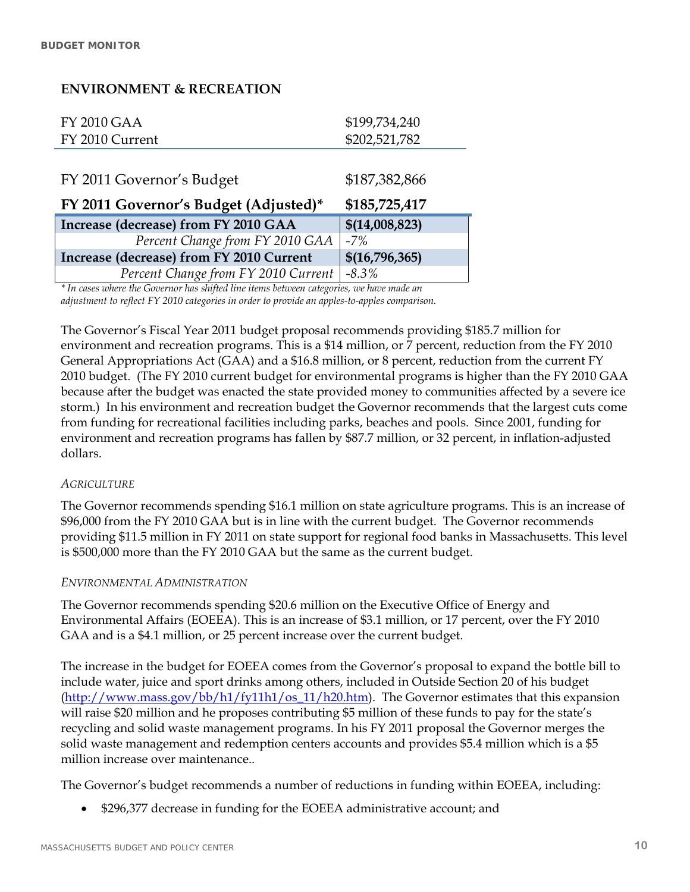### **ENVIRONMENT & RECREATION**

| FY 2010 GAA     | \$199,734,240 |
|-----------------|---------------|
| FY 2010 Current | \$202,521,782 |
|                 |               |

| FY 2011 Governor's Budget                | \$187,382,866  |
|------------------------------------------|----------------|
| FY 2011 Governor's Budget (Adjusted)*    | \$185,725,417  |
| Increase (decrease) from FY 2010 GAA     | \$(14,008,823) |
| Percent Change from FY 2010 GAA          | $-7%$          |
| Increase (decrease) from FY 2010 Current | \$(16,796,365) |
| Percent Change from FY 2010 Current      | $-8.3\%$       |

*\* In cases where the Governor has shifted line items between categories, we have made an adjustment to reflect FY 2010 categories in order to provide an apples-to-apples comparison.* 

The Governor's Fiscal Year 2011 budget proposal recommends providing \$185.7 million for environment and recreation programs. This is a \$14 million, or 7 percent, reduction from the FY 2010 General Appropriations Act (GAA) and a \$16.8 million, or 8 percent, reduction from the current FY 2010 budget. (The FY 2010 current budget for environmental programs is higher than the FY 2010 GAA because after the budget was enacted the state provided money to communities affected by a severe ice storm.) In his environment and recreation budget the Governor recommends that the largest cuts come from funding for recreational facilities including parks, beaches and pools. Since 2001, funding for environment and recreation programs has fallen by \$87.7 million, or 32 percent, in inflation-adjusted dollars.

#### *AGRICULTURE*

The Governor recommends spending \$16.1 million on state agriculture programs. This is an increase of \$96,000 from the FY 2010 GAA but is in line with the current budget. The Governor recommends providing \$11.5 million in FY 2011 on state support for regional food banks in Massachusetts. This level is \$500,000 more than the FY 2010 GAA but the same as the current budget.

#### *ENVIRONMENTAL ADMINISTRATION*

The Governor recommends spending \$20.6 million on the Executive Office of Energy and Environmental Affairs (EOEEA). This is an increase of \$3.1 million, or 17 percent, over the FY 2010 GAA and is a \$4.1 million, or 25 percent increase over the current budget.

The increase in the budget for EOEEA comes from the Governor's proposal to expand the bottle bill to include water, juice and sport drinks among others, included in Outside Section 20 of his budget (http://www.mass.gov/bb/h1/fy11h1/os\_11/h20.htm). The Governor estimates that this expansion will raise \$20 million and he proposes contributing \$5 million of these funds to pay for the state's recycling and solid waste management programs. In his FY 2011 proposal the Governor merges the solid waste management and redemption centers accounts and provides \$5.4 million which is a \$5 million increase over maintenance..

The Governor's budget recommends a number of reductions in funding within EOEEA, including:

\$296,377 decrease in funding for the EOEEA administrative account; and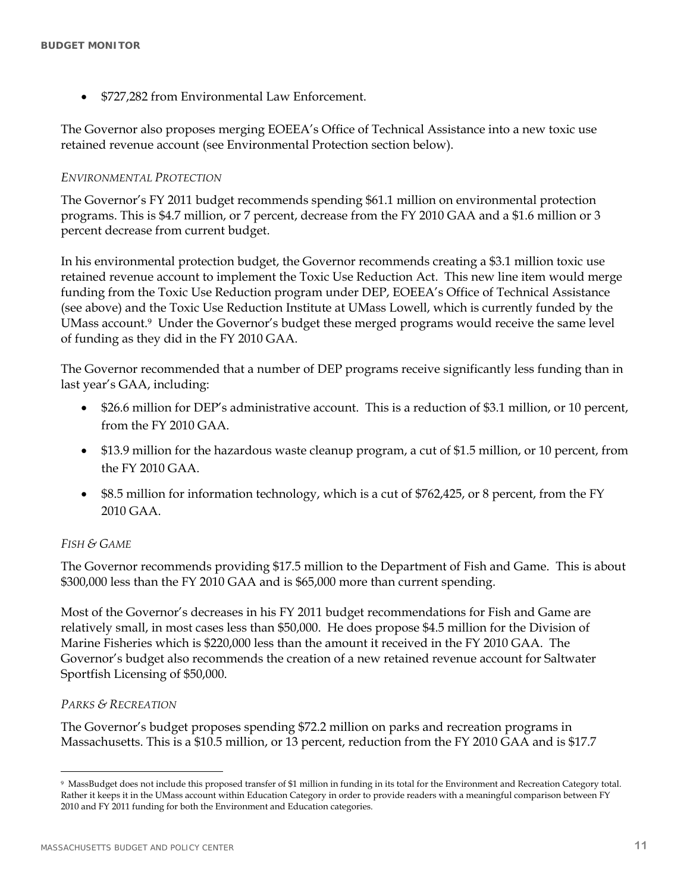\$727,282 from Environmental Law Enforcement.

The Governor also proposes merging EOEEA's Office of Technical Assistance into a new toxic use retained revenue account (see Environmental Protection section below).

#### *ENVIRONMENTAL PROTECTION*

The Governor's FY 2011 budget recommends spending \$61.1 million on environmental protection programs. This is \$4.7 million, or 7 percent, decrease from the FY 2010 GAA and a \$1.6 million or 3 percent decrease from current budget.

In his environmental protection budget, the Governor recommends creating a \$3.1 million toxic use retained revenue account to implement the Toxic Use Reduction Act. This new line item would merge funding from the Toxic Use Reduction program under DEP, EOEEA's Office of Technical Assistance (see above) and the Toxic Use Reduction Institute at UMass Lowell, which is currently funded by the UMass account.9 Under the Governor's budget these merged programs would receive the same level of funding as they did in the FY 2010 GAA.

The Governor recommended that a number of DEP programs receive significantly less funding than in last year's GAA, including:

- \$26.6 million for DEP's administrative account. This is a reduction of \$3.1 million, or 10 percent, from the FY 2010 GAA.
- \$13.9 million for the hazardous waste cleanup program, a cut of \$1.5 million, or 10 percent, from the FY 2010 GAA.
- \$8.5 million for information technology, which is a cut of \$762,425, or 8 percent, from the FY 2010 GAA.

#### *FISH & GAME*

The Governor recommends providing \$17.5 million to the Department of Fish and Game. This is about \$300,000 less than the FY 2010 GAA and is \$65,000 more than current spending.

Most of the Governor's decreases in his FY 2011 budget recommendations for Fish and Game are relatively small, in most cases less than \$50,000. He does propose \$4.5 million for the Division of Marine Fisheries which is \$220,000 less than the amount it received in the FY 2010 GAA. The Governor's budget also recommends the creation of a new retained revenue account for Saltwater Sportfish Licensing of \$50,000.

#### *PARKS & RECREATION*

 $\overline{a}$ 

The Governor's budget proposes spending \$72.2 million on parks and recreation programs in Massachusetts. This is a \$10.5 million, or 13 percent, reduction from the FY 2010 GAA and is \$17.7

<sup>9</sup> MassBudget does not include this proposed transfer of \$1 million in funding in its total for the Environment and Recreation Category total. Rather it keeps it in the UMass account within Education Category in order to provide readers with a meaningful comparison between FY 2010 and FY 2011 funding for both the Environment and Education categories.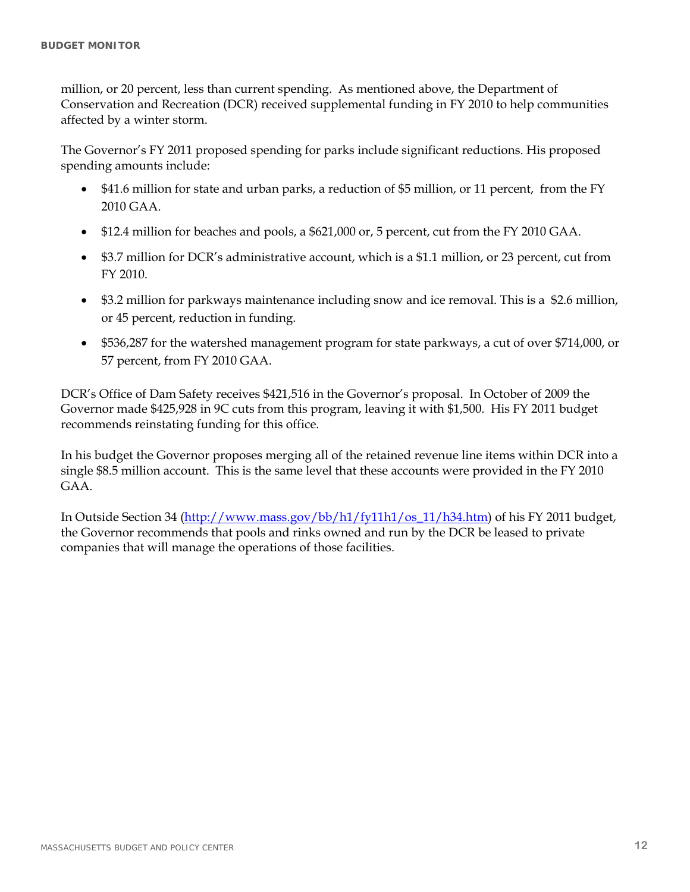million, or 20 percent, less than current spending. As mentioned above, the Department of Conservation and Recreation (DCR) received supplemental funding in FY 2010 to help communities affected by a winter storm.

The Governor's FY 2011 proposed spending for parks include significant reductions. His proposed spending amounts include:

- \$41.6 million for state and urban parks, a reduction of \$5 million, or 11 percent, from the FY 2010 GAA.
- \$12.4 million for beaches and pools, a \$621,000 or, 5 percent, cut from the FY 2010 GAA.
- \$3.7 million for DCR's administrative account, which is a \$1.1 million, or 23 percent, cut from FY 2010.
- \$3.2 million for parkways maintenance including snow and ice removal. This is a \$2.6 million, or 45 percent, reduction in funding.
- \$536,287 for the watershed management program for state parkways, a cut of over \$714,000, or 57 percent, from FY 2010 GAA.

DCR's Office of Dam Safety receives \$421,516 in the Governor's proposal. In October of 2009 the Governor made \$425,928 in 9C cuts from this program, leaving it with \$1,500. His FY 2011 budget recommends reinstating funding for this office.

In his budget the Governor proposes merging all of the retained revenue line items within DCR into a single \$8.5 million account. This is the same level that these accounts were provided in the FY 2010 GAA.

In Outside Section 34 (http://www.mass.gov/bb/h1/fy11h1/os\_11/h34.htm) of his FY 2011 budget, the Governor recommends that pools and rinks owned and run by the DCR be leased to private companies that will manage the operations of those facilities.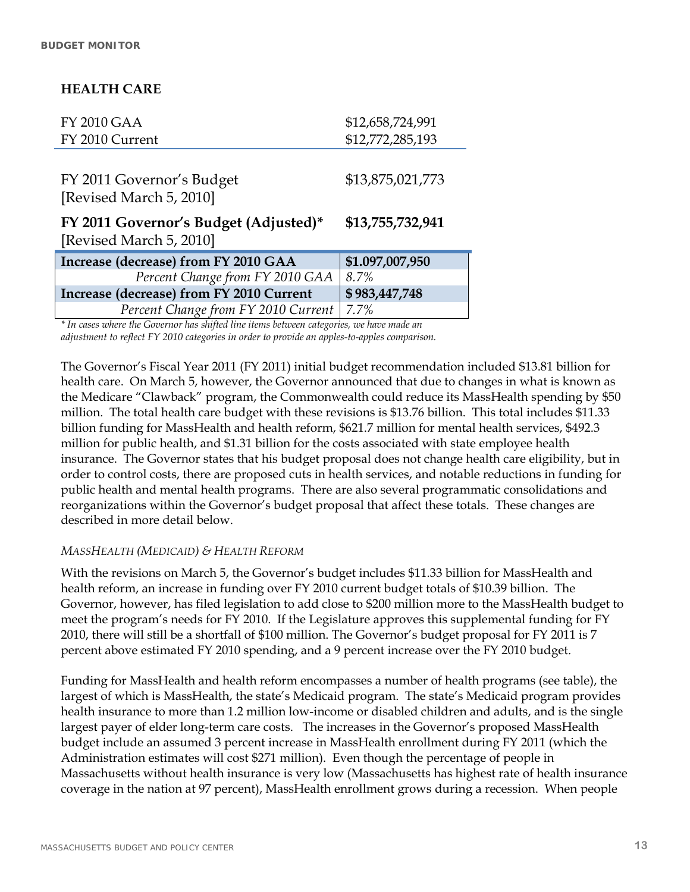### **HEALTH CARE**

| <b>FY 2010 GAA</b>                       | \$12,658,724,991 |
|------------------------------------------|------------------|
| FY 2010 Current                          | \$12,772,285,193 |
|                                          |                  |
| FY 2011 Governor's Budget                | \$13,875,021,773 |
| [Revised March 5, 2010]                  |                  |
| FY 2011 Governor's Budget (Adjusted)*    | \$13,755,732,941 |
| [Revised March 5, 2010]                  |                  |
| Increase (decrease) from FY 2010 GAA     | \$1.097,007,950  |
| Percent Change from FY 2010 GAA          | 8.7%             |
| Increase (decrease) from FY 2010 Current | \$983,447,748    |
| Percent Change from FY 2010 Current      | 7.7%             |

*\* In cases where the Governor has shifted line items between categories, we have made an adjustment to reflect FY 2010 categories in order to provide an apples-to-apples comparison.* 

The Governor's Fiscal Year 2011 (FY 2011) initial budget recommendation included \$13.81 billion for health care. On March 5, however, the Governor announced that due to changes in what is known as the Medicare "Clawback" program, the Commonwealth could reduce its MassHealth spending by \$50 million. The total health care budget with these revisions is \$13.76 billion. This total includes \$11.33 billion funding for MassHealth and health reform, \$621.7 million for mental health services, \$492.3 million for public health, and \$1.31 billion for the costs associated with state employee health insurance. The Governor states that his budget proposal does not change health care eligibility, but in order to control costs, there are proposed cuts in health services, and notable reductions in funding for public health and mental health programs. There are also several programmatic consolidations and reorganizations within the Governor's budget proposal that affect these totals. These changes are described in more detail below.

### *MASSHEALTH (MEDICAID) & HEALTH REFORM*

With the revisions on March 5, the Governor's budget includes \$11.33 billion for MassHealth and health reform, an increase in funding over FY 2010 current budget totals of \$10.39 billion. The Governor, however, has filed legislation to add close to \$200 million more to the MassHealth budget to meet the program's needs for FY 2010. If the Legislature approves this supplemental funding for FY 2010, there will still be a shortfall of \$100 million. The Governor's budget proposal for FY 2011 is 7 percent above estimated FY 2010 spending, and a 9 percent increase over the FY 2010 budget.

Funding for MassHealth and health reform encompasses a number of health programs (see table), the largest of which is MassHealth, the state's Medicaid program. The state's Medicaid program provides health insurance to more than 1.2 million low-income or disabled children and adults, and is the single largest payer of elder long-term care costs. The increases in the Governor's proposed MassHealth budget include an assumed 3 percent increase in MassHealth enrollment during FY 2011 (which the Administration estimates will cost \$271 million). Even though the percentage of people in Massachusetts without health insurance is very low (Massachusetts has highest rate of health insurance coverage in the nation at 97 percent), MassHealth enrollment grows during a recession. When people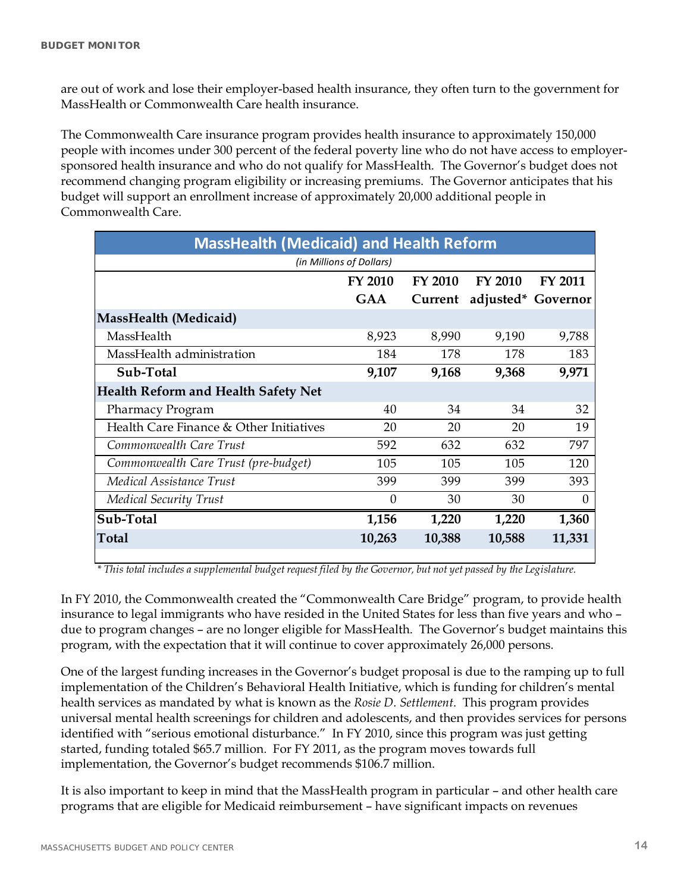are out of work and lose their employer-based health insurance, they often turn to the government for MassHealth or Commonwealth Care health insurance.

The Commonwealth Care insurance program provides health insurance to approximately 150,000 people with incomes under 300 percent of the federal poverty line who do not have access to employersponsored health insurance and who do not qualify for MassHealth. The Governor's budget does not recommend changing program eligibility or increasing premiums. The Governor anticipates that his budget will support an enrollment increase of approximately 20,000 additional people in Commonwealth Care.

| <b>MassHealth (Medicaid) and Health Reform</b> |                          |         |         |                    |
|------------------------------------------------|--------------------------|---------|---------|--------------------|
|                                                | (in Millions of Dollars) |         |         |                    |
|                                                | <b>FY 2010</b>           | FY 2010 | FY 2010 | <b>FY 2011</b>     |
|                                                | <b>GAA</b>               | Current |         | adjusted* Governor |
| <b>MassHealth (Medicaid)</b>                   |                          |         |         |                    |
| MassHealth                                     | 8,923                    | 8,990   | 9,190   | 9,788              |
| MassHealth administration                      | 184                      | 178     | 178     | 183                |
| Sub-Total                                      | 9,107                    | 9,168   | 9,368   | 9,971              |
| <b>Health Reform and Health Safety Net</b>     |                          |         |         |                    |
| Pharmacy Program                               | 40                       | 34      | 34      | 32                 |
| Health Care Finance & Other Initiatives        | 20                       | 20      | 20      | 19                 |
| Commonwealth Care Trust                        | 592                      | 632     | 632     | 797                |
| Commonwealth Care Trust (pre-budget)           | 105                      | 105     | 105     | 120                |
| Medical Assistance Trust                       | 399                      | 399     | 399     | 393                |
| <b>Medical Security Trust</b>                  | $\theta$                 | 30      | 30      | $\Omega$           |
| Sub-Total                                      | 1,156                    | 1,220   | 1,220   | 1,360              |
| <b>Total</b>                                   | 10,263                   | 10,388  | 10,588  | 11,331             |
|                                                |                          |         |         |                    |

*\* This total includes a supplemental budget request filed by the Governor, but not yet passed by the Legislature.*

In FY 2010, the Commonwealth created the "Commonwealth Care Bridge" program, to provide health insurance to legal immigrants who have resided in the United States for less than five years and who – due to program changes - are no longer eligible for MassHealth. The Governor's budget maintains this program, with the expectation that it will continue to cover approximately 26,000 persons.

One of the largest funding increases in the Governor's budget proposal is due to the ramping up to full implementation of the Children's Behavioral Health Initiative, which is funding for children's mental health services as mandated by what is known as the *Rosie D. Settlement*. This program provides universal mental health screenings for children and adolescents, and then provides services for persons identified with "serious emotional disturbance." In FY 2010, since this program was just getting started, funding totaled \$65.7 million. For FY 2011, as the program moves towards full implementation, the Governor's budget recommends \$106.7 million.

It is also important to keep in mind that the MassHealth program in particular – and other health care programs that are eligible for Medicaid reimbursement – have significant impacts on revenues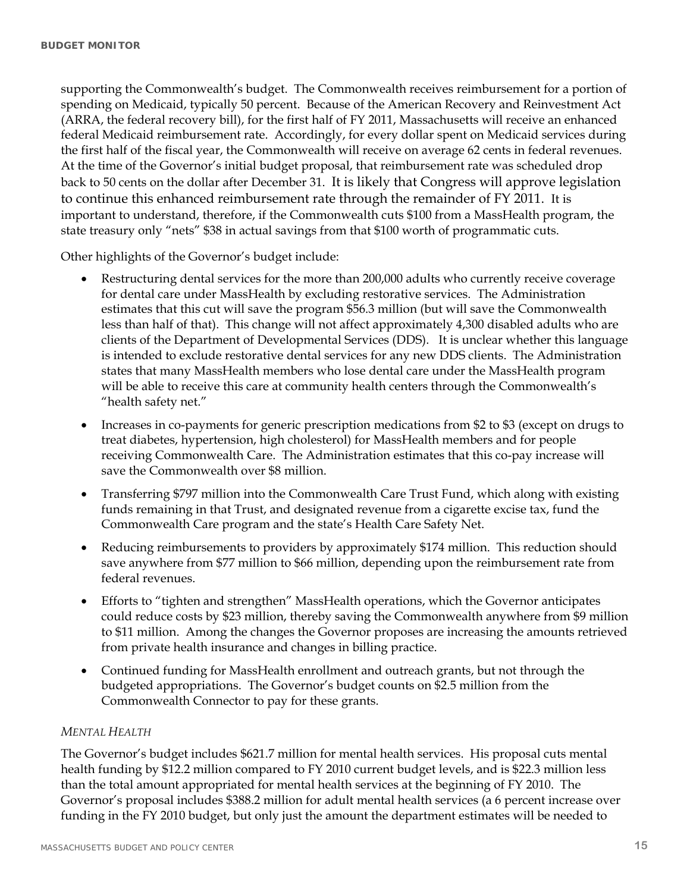supporting the Commonwealth's budget. The Commonwealth receives reimbursement for a portion of spending on Medicaid, typically 50 percent. Because of the American Recovery and Reinvestment Act (ARRA, the federal recovery bill), for the first half of FY 2011, Massachusetts will receive an enhanced federal Medicaid reimbursement rate. Accordingly, for every dollar spent on Medicaid services during the first half of the fiscal year, the Commonwealth will receive on average 62 cents in federal revenues. At the time of the Governor's initial budget proposal, that reimbursement rate was scheduled drop back to 50 cents on the dollar after December 31. It is likely that Congress will approve legislation to continue this enhanced reimbursement rate through the remainder of FY 2011. It is important to understand, therefore, if the Commonwealth cuts \$100 from a MassHealth program, the state treasury only "nets" \$38 in actual savings from that \$100 worth of programmatic cuts.

Other highlights of the Governor's budget include:

- Restructuring dental services for the more than 200,000 adults who currently receive coverage for dental care under MassHealth by excluding restorative services. The Administration estimates that this cut will save the program \$56.3 million (but will save the Commonwealth less than half of that). This change will not affect approximately 4,300 disabled adults who are clients of the Department of Developmental Services (DDS). It is unclear whether this language is intended to exclude restorative dental services for any new DDS clients. The Administration states that many MassHealth members who lose dental care under the MassHealth program will be able to receive this care at community health centers through the Commonwealth's "health safety net."
- Increases in co-payments for generic prescription medications from \$2 to \$3 (except on drugs to treat diabetes, hypertension, high cholesterol) for MassHealth members and for people receiving Commonwealth Care. The Administration estimates that this co-pay increase will save the Commonwealth over \$8 million.
- Transferring \$797 million into the Commonwealth Care Trust Fund, which along with existing funds remaining in that Trust, and designated revenue from a cigarette excise tax, fund the Commonwealth Care program and the state's Health Care Safety Net.
- Reducing reimbursements to providers by approximately \$174 million. This reduction should save anywhere from \$77 million to \$66 million, depending upon the reimbursement rate from federal revenues.
- Efforts to "tighten and strengthen" MassHealth operations, which the Governor anticipates could reduce costs by \$23 million, thereby saving the Commonwealth anywhere from \$9 million to \$11 million. Among the changes the Governor proposes are increasing the amounts retrieved from private health insurance and changes in billing practice.
- Continued funding for MassHealth enrollment and outreach grants, but not through the budgeted appropriations. The Governor's budget counts on \$2.5 million from the Commonwealth Connector to pay for these grants.

#### *MENTAL HEALTH*

The Governor's budget includes \$621.7 million for mental health services. His proposal cuts mental health funding by \$12.2 million compared to FY 2010 current budget levels, and is \$22.3 million less than the total amount appropriated for mental health services at the beginning of FY 2010. The Governor's proposal includes \$388.2 million for adult mental health services (a 6 percent increase over funding in the FY 2010 budget, but only just the amount the department estimates will be needed to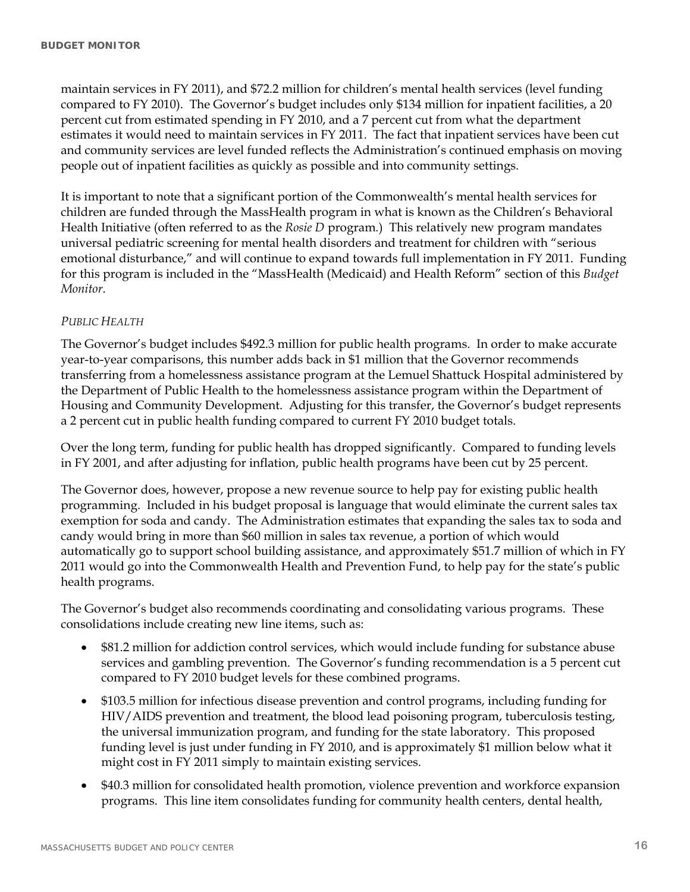maintain services in FY 2011), and \$72.2 million for children's mental health services (level funding compared to FY 2010). The Governor's budget includes only \$134 million for inpatient facilities, a 20 percent cut from estimated spending in FY 2010, and a 7 percent cut from what the department estimates it would need to maintain services in FY 2011. The fact that inpatient services have been cut and community services are level funded reflects the Administration's continued emphasis on moving people out of inpatient facilities as quickly as possible and into community settings.

It is important to note that a significant portion of the Commonwealth's mental health services for children are funded through the MassHealth program in what is known as the Children's Behavioral Health Initiative (often referred to as the *Rosie D* program*.*) This relatively new program mandates universal pediatric screening for mental health disorders and treatment for children with "serious emotional disturbance," and will continue to expand towards full implementation in FY 2011. Funding for this program is included in the "MassHealth (Medicaid) and Health Reform" section of this *Budget Monitor*.

#### *PUBLIC HEALTH*

The Governor's budget includes \$492.3 million for public health programs. In order to make accurate year-to-year comparisons, this number adds back in \$1 million that the Governor recommends transferring from a homelessness assistance program at the Lemuel Shattuck Hospital administered by the Department of Public Health to the homelessness assistance program within the Department of Housing and Community Development. Adjusting for this transfer, the Governor's budget represents a 2 percent cut in public health funding compared to current FY 2010 budget totals.

Over the long term, funding for public health has dropped significantly. Compared to funding levels in FY 2001, and after adjusting for inflation, public health programs have been cut by 25 percent.

The Governor does, however, propose a new revenue source to help pay for existing public health programming. Included in his budget proposal is language that would eliminate the current sales tax exemption for soda and candy. The Administration estimates that expanding the sales tax to soda and candy would bring in more than \$60 million in sales tax revenue, a portion of which would automatically go to support school building assistance, and approximately \$51.7 million of which in FY 2011 would go into the Commonwealth Health and Prevention Fund, to help pay for the state's public health programs.

The Governor's budget also recommends coordinating and consolidating various programs. These consolidations include creating new line items, such as:

- \$81.2 million for addiction control services, which would include funding for substance abuse services and gambling prevention. The Governor's funding recommendation is a 5 percent cut compared to FY 2010 budget levels for these combined programs.
- \$103.5 million for infectious disease prevention and control programs, including funding for HIV/AIDS prevention and treatment, the blood lead poisoning program, tuberculosis testing, the universal immunization program, and funding for the state laboratory. This proposed funding level is just under funding in FY 2010, and is approximately \$1 million below what it might cost in FY 2011 simply to maintain existing services.
- \$40.3 million for consolidated health promotion, violence prevention and workforce expansion programs. This line item consolidates funding for community health centers, dental health,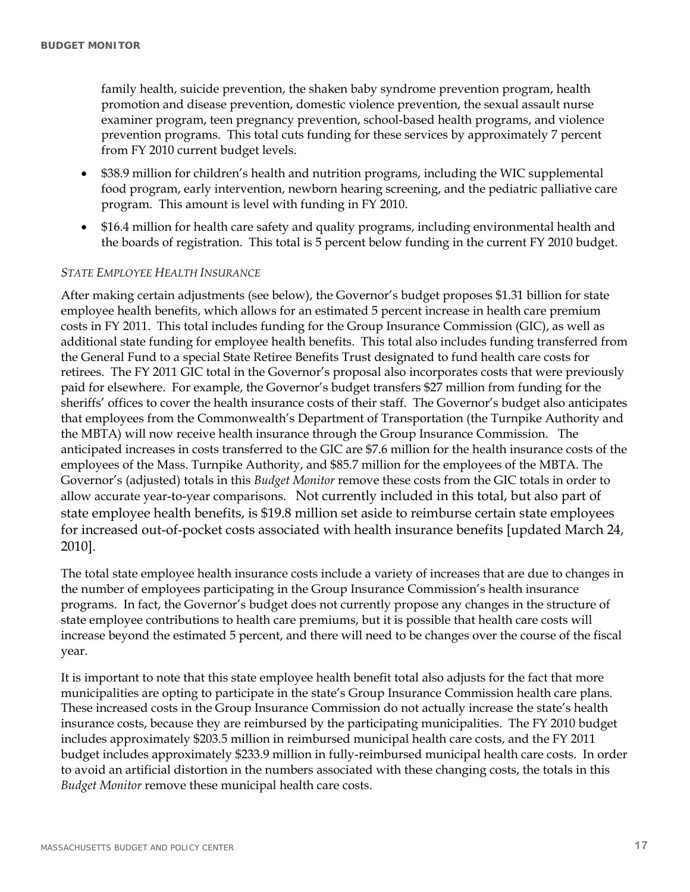family health, suicide prevention, the shaken baby syndrome prevention program, health promotion and disease prevention, domestic violence prevention, the sexual assault nurse examiner program, teen pregnancy prevention, school-based health programs, and violence prevention programs. This total cuts funding for these services by approximately 7 percent from FY 2010 current budget levels.

- \$38.9 million for children's health and nutrition programs, including the WIC supplemental food program, early intervention, newborn hearing screening, and the pediatric palliative care program. This amount is level with funding in FY 2010.
- \$16.4 million for health care safety and quality programs, including environmental health and the boards of registration. This total is 5 percent below funding in the current FY 2010 budget.

#### *STATE EMPLOYEE HEALTH INSURANCE*

After making certain adjustments (see below), the Governor's budget proposes \$1.31 billion for state employee health benefits, which allows for an estimated 5 percent increase in health care premium costs in FY 2011. This total includes funding for the Group Insurance Commission (GIC), as well as additional state funding for employee health benefits. This total also includes funding transferred from the General Fund to a special State Retiree Benefits Trust designated to fund health care costs for retirees. The FY 2011 GIC total in the Governor's proposal also incorporates costs that were previously paid for elsewhere. For example, the Governor's budget transfers \$27 million from funding for the sheriffs' offices to cover the health insurance costs of their staff. The Governor's budget also anticipates that employees from the Commonwealth's Department of Transportation (the Turnpike Authority and the MBTA) will now receive health insurance through the Group Insurance Commission. The anticipated increases in costs transferred to the GIC are \$7.6 million for the health insurance costs of the employees of the Mass. Turnpike Authority, and \$85.7 million for the employees of the MBTA. The Governor's (adjusted) totals in this *Budget Monitor* remove these costs from the GIC totals in order to allow accurate year-to-year comparisons. Not currently included in this total, but also part of state employee health benefits, is \$19.8 million set aside to reimburse certain state employees for increased out-of-pocket costs associated with health insurance benefits [updated March 24, 2010].

The total state employee health insurance costs include a variety of increases that are due to changes in the number of employees participating in the Group Insurance Commission's health insurance programs. In fact, the Governor's budget does not currently propose any changes in the structure of state employee contributions to health care premiums, but it is possible that health care costs will increase beyond the estimated 5 percent, and there will need to be changes over the course of the fiscal year.

It is important to note that this state employee health benefit total also adjusts for the fact that more municipalities are opting to participate in the state's Group Insurance Commission health care plans. These increased costs in the Group Insurance Commission do not actually increase the state's health insurance costs, because they are reimbursed by the participating municipalities. The FY 2010 budget includes approximately \$203.5 million in reimbursed municipal health care costs, and the FY 2011 budget includes approximately \$233.9 million in fully-reimbursed municipal health care costs. In order to avoid an artificial distortion in the numbers associated with these changing costs, the totals in this *Budget Monitor* remove these municipal health care costs.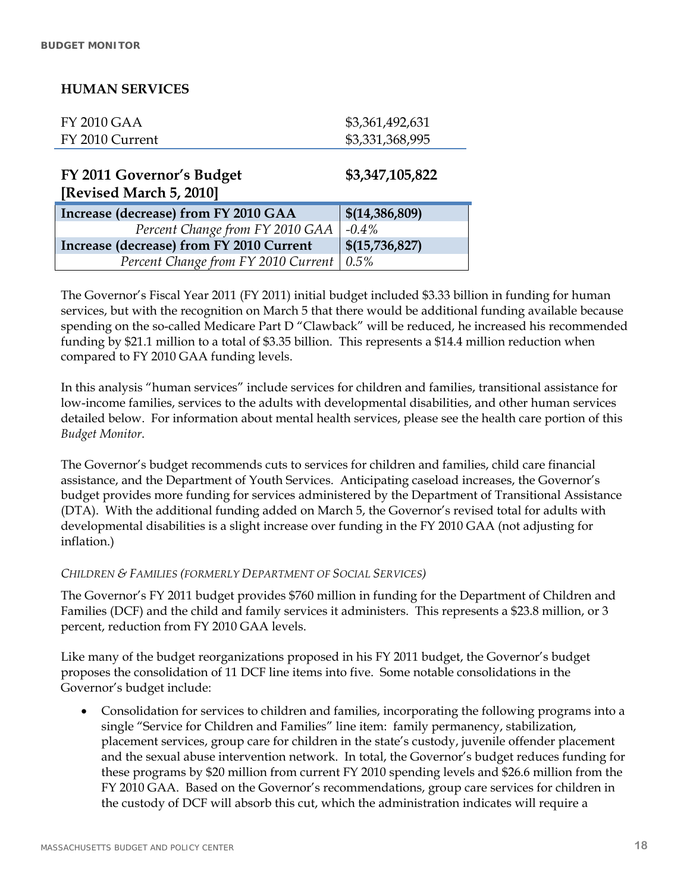### **HUMAN SERVICES**

| FY 2010 GAA     | \$3,361,492,631 |
|-----------------|-----------------|
| FY 2010 Current | \$3,331,368,995 |

**FY 2011 Governor's Budget [Revised March 5, 2010]** 

**\$3,347,105,822** 

| $\mu$ . The vector is the control of $\mu$ |                           |
|--------------------------------------------|---------------------------|
| Increase (decrease) from FY 2010 GAA       | \$(14, 386, 809)          |
| Percent Change from FY 2010 GAA            | $-0.4\%$                  |
| Increase (decrease) from FY 2010 Current   | $\frac{\$(15,736,827)}{}$ |
| Percent Change from FY 2010 Current   0.5% |                           |

The Governor's Fiscal Year 2011 (FY 2011) initial budget included \$3.33 billion in funding for human services, but with the recognition on March 5 that there would be additional funding available because spending on the so-called Medicare Part D "Clawback" will be reduced, he increased his recommended funding by \$21.1 million to a total of \$3.35 billion. This represents a \$14.4 million reduction when compared to FY 2010 GAA funding levels.

In this analysis "human services" include services for children and families, transitional assistance for low-income families, services to the adults with developmental disabilities, and other human services detailed below. For information about mental health services, please see the health care portion of this *Budget Monitor*.

The Governor's budget recommends cuts to services for children and families, child care financial assistance, and the Department of Youth Services. Anticipating caseload increases, the Governor's budget provides more funding for services administered by the Department of Transitional Assistance (DTA). With the additional funding added on March 5, the Governor's revised total for adults with developmental disabilities is a slight increase over funding in the FY 2010 GAA (not adjusting for inflation.)

### *CHILDREN & FAMILIES (FORMERLY DEPARTMENT OF SOCIAL SERVICES)*

The Governor's FY 2011 budget provides \$760 million in funding for the Department of Children and Families (DCF) and the child and family services it administers. This represents a \$23.8 million, or 3 percent, reduction from FY 2010 GAA levels.

Like many of the budget reorganizations proposed in his FY 2011 budget, the Governor's budget proposes the consolidation of 11 DCF line items into five. Some notable consolidations in the Governor's budget include:

 Consolidation for services to children and families, incorporating the following programs into a single "Service for Children and Families" line item: family permanency, stabilization, placement services, group care for children in the state's custody, juvenile offender placement and the sexual abuse intervention network. In total, the Governor's budget reduces funding for these programs by \$20 million from current FY 2010 spending levels and \$26.6 million from the FY 2010 GAA. Based on the Governor's recommendations, group care services for children in the custody of DCF will absorb this cut, which the administration indicates will require a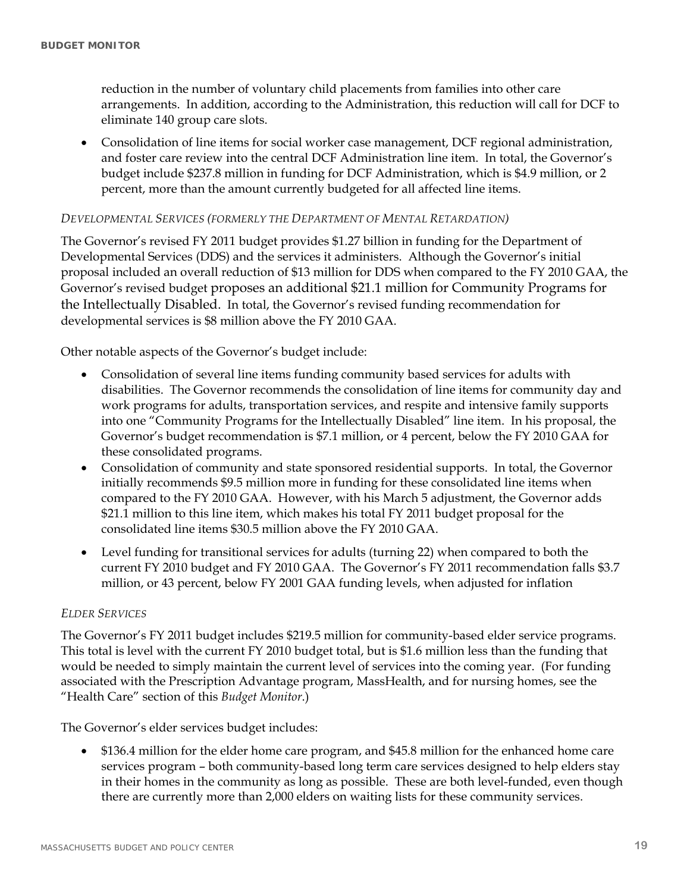reduction in the number of voluntary child placements from families into other care arrangements. In addition, according to the Administration, this reduction will call for DCF to eliminate 140 group care slots.

 Consolidation of line items for social worker case management, DCF regional administration, and foster care review into the central DCF Administration line item. In total, the Governor's budget include \$237.8 million in funding for DCF Administration, which is \$4.9 million, or 2 percent, more than the amount currently budgeted for all affected line items.

#### *DEVELOPMENTAL SERVICES (FORMERLY THE DEPARTMENT OF MENTAL RETARDATION)*

The Governor's revised FY 2011 budget provides \$1.27 billion in funding for the Department of Developmental Services (DDS) and the services it administers. Although the Governor's initial proposal included an overall reduction of \$13 million for DDS when compared to the FY 2010 GAA, the Governor's revised budget proposes an additional \$21.1 million for Community Programs for the Intellectually Disabled. In total, the Governor's revised funding recommendation for developmental services is \$8 million above the FY 2010 GAA.

Other notable aspects of the Governor's budget include:

- Consolidation of several line items funding community based services for adults with disabilities. The Governor recommends the consolidation of line items for community day and work programs for adults, transportation services, and respite and intensive family supports into one "Community Programs for the Intellectually Disabled" line item. In his proposal, the Governor's budget recommendation is \$7.1 million, or 4 percent, below the FY 2010 GAA for these consolidated programs.
- Consolidation of community and state sponsored residential supports. In total, the Governor initially recommends \$9.5 million more in funding for these consolidated line items when compared to the FY 2010 GAA. However, with his March 5 adjustment, the Governor adds \$21.1 million to this line item, which makes his total FY 2011 budget proposal for the consolidated line items \$30.5 million above the FY 2010 GAA.
- Level funding for transitional services for adults (turning 22) when compared to both the current FY 2010 budget and FY 2010 GAA. The Governor's FY 2011 recommendation falls \$3.7 million, or 43 percent, below FY 2001 GAA funding levels, when adjusted for inflation

#### *ELDER SERVICES*

The Governor's FY 2011 budget includes \$219.5 million for community-based elder service programs. This total is level with the current FY 2010 budget total, but is \$1.6 million less than the funding that would be needed to simply maintain the current level of services into the coming year. (For funding associated with the Prescription Advantage program, MassHealth, and for nursing homes, see the "Health Care" section of this *Budget Monitor*.)

The Governor's elder services budget includes:

 \$136.4 million for the elder home care program, and \$45.8 million for the enhanced home care services program – both community-based long term care services designed to help elders stay in their homes in the community as long as possible. These are both level-funded, even though there are currently more than 2,000 elders on waiting lists for these community services.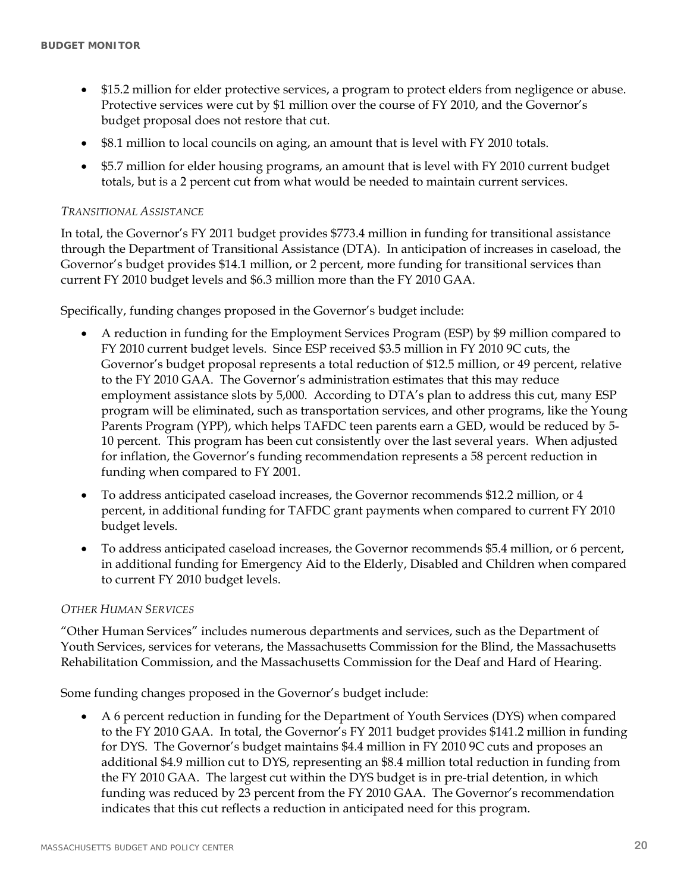- \$15.2 million for elder protective services, a program to protect elders from negligence or abuse. Protective services were cut by \$1 million over the course of FY 2010, and the Governor's budget proposal does not restore that cut.
- \$8.1 million to local councils on aging, an amount that is level with FY 2010 totals.
- \$5.7 million for elder housing programs, an amount that is level with FY 2010 current budget totals, but is a 2 percent cut from what would be needed to maintain current services.

#### *TRANSITIONAL ASSISTANCE*

In total, the Governor's FY 2011 budget provides \$773.4 million in funding for transitional assistance through the Department of Transitional Assistance (DTA). In anticipation of increases in caseload, the Governor's budget provides \$14.1 million, or 2 percent, more funding for transitional services than current FY 2010 budget levels and \$6.3 million more than the FY 2010 GAA.

Specifically, funding changes proposed in the Governor's budget include:

- A reduction in funding for the Employment Services Program (ESP) by \$9 million compared to FY 2010 current budget levels. Since ESP received \$3.5 million in FY 2010 9C cuts, the Governor's budget proposal represents a total reduction of \$12.5 million, or 49 percent, relative to the FY 2010 GAA. The Governor's administration estimates that this may reduce employment assistance slots by 5,000. According to DTA's plan to address this cut, many ESP program will be eliminated, such as transportation services, and other programs, like the Young Parents Program (YPP), which helps TAFDC teen parents earn a GED, would be reduced by 5- 10 percent. This program has been cut consistently over the last several years. When adjusted for inflation, the Governor's funding recommendation represents a 58 percent reduction in funding when compared to FY 2001.
- To address anticipated caseload increases, the Governor recommends \$12.2 million, or 4 percent, in additional funding for TAFDC grant payments when compared to current FY 2010 budget levels.
- To address anticipated caseload increases, the Governor recommends \$5.4 million, or 6 percent, in additional funding for Emergency Aid to the Elderly, Disabled and Children when compared to current FY 2010 budget levels.

#### *OTHER HUMAN SERVICES*

"Other Human Services" includes numerous departments and services, such as the Department of Youth Services, services for veterans, the Massachusetts Commission for the Blind, the Massachusetts Rehabilitation Commission, and the Massachusetts Commission for the Deaf and Hard of Hearing.

Some funding changes proposed in the Governor's budget include:

 A 6 percent reduction in funding for the Department of Youth Services (DYS) when compared to the FY 2010 GAA. In total, the Governor's FY 2011 budget provides \$141.2 million in funding for DYS. The Governor's budget maintains \$4.4 million in FY 2010 9C cuts and proposes an additional \$4.9 million cut to DYS, representing an \$8.4 million total reduction in funding from the FY 2010 GAA. The largest cut within the DYS budget is in pre-trial detention, in which funding was reduced by 23 percent from the FY 2010 GAA. The Governor's recommendation indicates that this cut reflects a reduction in anticipated need for this program.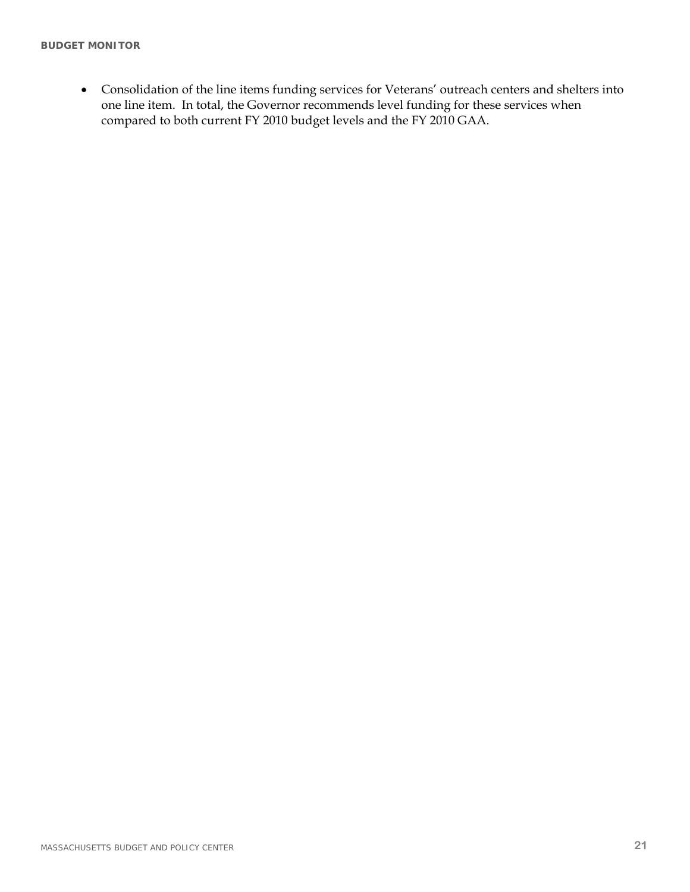Consolidation of the line items funding services for Veterans' outreach centers and shelters into one line item. In total, the Governor recommends level funding for these services when compared to both current FY 2010 budget levels and the FY 2010 GAA.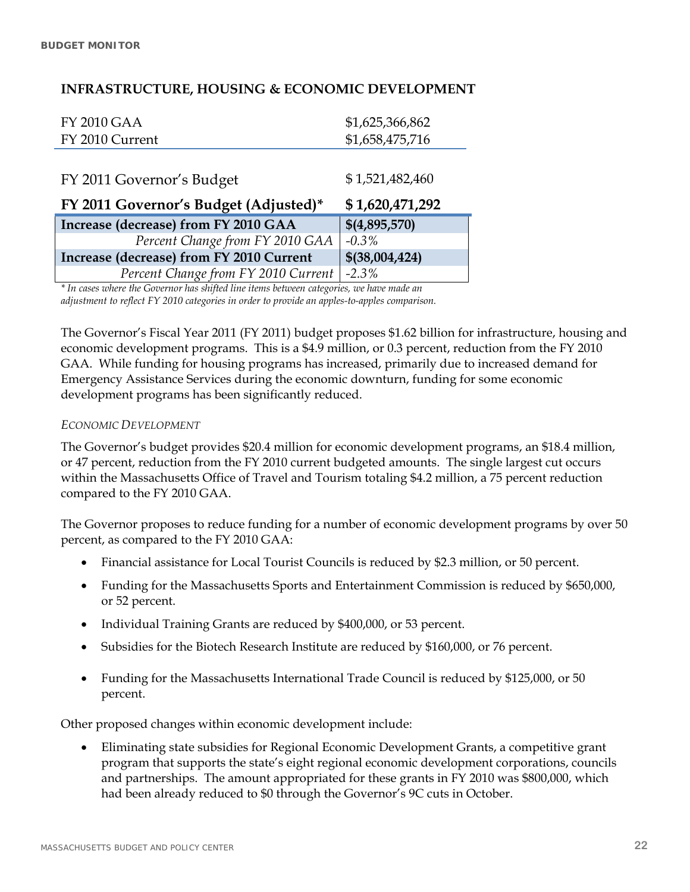### **INFRASTRUCTURE, HOUSING & ECONOMIC DEVELOPMENT**

| <b>FY 2010 GAA</b>                       | \$1,625,366,862 |
|------------------------------------------|-----------------|
| FY 2010 Current                          | \$1,658,475,716 |
|                                          |                 |
| FY 2011 Governor's Budget                | \$1,521,482,460 |
|                                          |                 |
| FY 2011 Governor's Budget (Adjusted)*    | \$1,620,471,292 |
| Increase (decrease) from FY 2010 GAA     | \$(4,895,570)   |
| Percent Change from FY 2010 GAA          | $-0.3\%$        |
| Increase (decrease) from FY 2010 Current | \$(38,004,424)  |

*\* In cases where the Governor has shifted line items between categories, we have made an adjustment to reflect FY 2010 categories in order to provide an apples-to-apples comparison.* 

The Governor's Fiscal Year 2011 (FY 2011) budget proposes \$1.62 billion for infrastructure, housing and economic development programs. This is a \$4.9 million, or 0.3 percent, reduction from the FY 2010 GAA. While funding for housing programs has increased, primarily due to increased demand for Emergency Assistance Services during the economic downturn, funding for some economic development programs has been significantly reduced.

#### *ECONOMIC DEVELOPMENT*

The Governor's budget provides \$20.4 million for economic development programs, an \$18.4 million, or 47 percent, reduction from the FY 2010 current budgeted amounts. The single largest cut occurs within the Massachusetts Office of Travel and Tourism totaling \$4.2 million, a 75 percent reduction compared to the FY 2010 GAA.

The Governor proposes to reduce funding for a number of economic development programs by over 50 percent, as compared to the FY 2010 GAA:

- Financial assistance for Local Tourist Councils is reduced by \$2.3 million, or 50 percent.
- Funding for the Massachusetts Sports and Entertainment Commission is reduced by \$650,000, or 52 percent.
- Individual Training Grants are reduced by \$400,000, or 53 percent.
- Subsidies for the Biotech Research Institute are reduced by \$160,000, or 76 percent.
- Funding for the Massachusetts International Trade Council is reduced by \$125,000, or 50 percent.

Other proposed changes within economic development include:

 Eliminating state subsidies for Regional Economic Development Grants, a competitive grant program that supports the state's eight regional economic development corporations, councils and partnerships. The amount appropriated for these grants in FY 2010 was \$800,000, which had been already reduced to \$0 through the Governor's 9C cuts in October.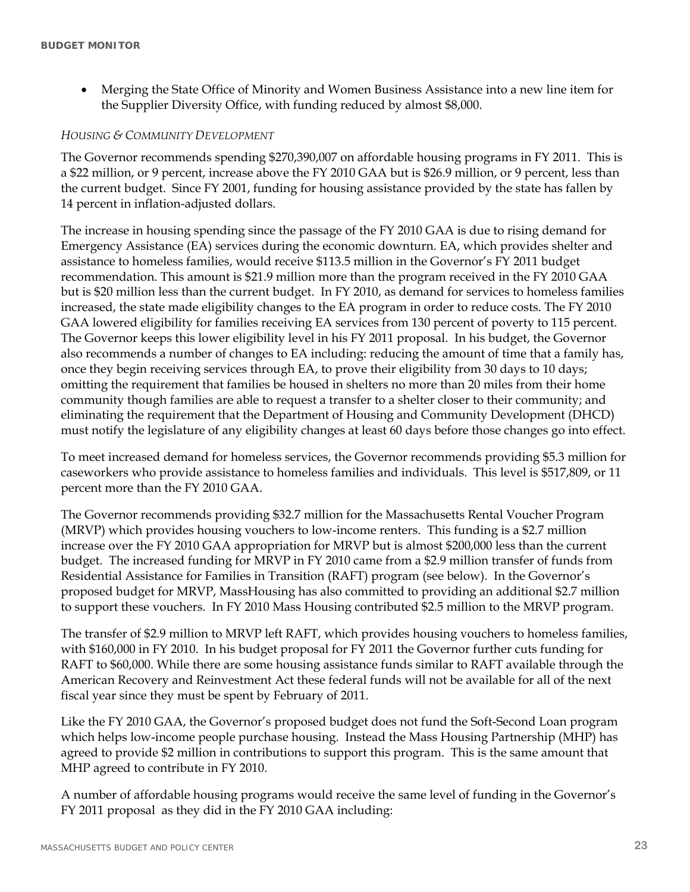Merging the State Office of Minority and Women Business Assistance into a new line item for the Supplier Diversity Office, with funding reduced by almost \$8,000.

#### *HOUSING & COMMUNITY DEVELOPMENT*

The Governor recommends spending \$270,390,007 on affordable housing programs in FY 2011. This is a \$22 million, or 9 percent, increase above the FY 2010 GAA but is \$26.9 million, or 9 percent, less than the current budget. Since FY 2001, funding for housing assistance provided by the state has fallen by 14 percent in inflation-adjusted dollars.

The increase in housing spending since the passage of the FY 2010 GAA is due to rising demand for Emergency Assistance (EA) services during the economic downturn. EA, which provides shelter and assistance to homeless families, would receive \$113.5 million in the Governor's FY 2011 budget recommendation. This amount is \$21.9 million more than the program received in the FY 2010 GAA but is \$20 million less than the current budget. In FY 2010, as demand for services to homeless families increased, the state made eligibility changes to the EA program in order to reduce costs. The FY 2010 GAA lowered eligibility for families receiving EA services from 130 percent of poverty to 115 percent. The Governor keeps this lower eligibility level in his FY 2011 proposal. In his budget, the Governor also recommends a number of changes to EA including: reducing the amount of time that a family has, once they begin receiving services through EA, to prove their eligibility from 30 days to 10 days; omitting the requirement that families be housed in shelters no more than 20 miles from their home community though families are able to request a transfer to a shelter closer to their community; and eliminating the requirement that the Department of Housing and Community Development (DHCD) must notify the legislature of any eligibility changes at least 60 days before those changes go into effect.

To meet increased demand for homeless services, the Governor recommends providing \$5.3 million for caseworkers who provide assistance to homeless families and individuals. This level is \$517,809, or 11 percent more than the FY 2010 GAA.

The Governor recommends providing \$32.7 million for the Massachusetts Rental Voucher Program (MRVP) which provides housing vouchers to low-income renters. This funding is a \$2.7 million increase over the FY 2010 GAA appropriation for MRVP but is almost \$200,000 less than the current budget. The increased funding for MRVP in FY 2010 came from a \$2.9 million transfer of funds from Residential Assistance for Families in Transition (RAFT) program (see below). In the Governor's proposed budget for MRVP, MassHousing has also committed to providing an additional \$2.7 million to support these vouchers. In FY 2010 Mass Housing contributed \$2.5 million to the MRVP program.

The transfer of \$2.9 million to MRVP left RAFT, which provides housing vouchers to homeless families, with \$160,000 in FY 2010. In his budget proposal for FY 2011 the Governor further cuts funding for RAFT to \$60,000. While there are some housing assistance funds similar to RAFT available through the American Recovery and Reinvestment Act these federal funds will not be available for all of the next fiscal year since they must be spent by February of 2011.

Like the FY 2010 GAA, the Governor's proposed budget does not fund the Soft-Second Loan program which helps low-income people purchase housing. Instead the Mass Housing Partnership (MHP) has agreed to provide \$2 million in contributions to support this program. This is the same amount that MHP agreed to contribute in FY 2010.

A number of affordable housing programs would receive the same level of funding in the Governor's FY 2011 proposal as they did in the FY 2010 GAA including: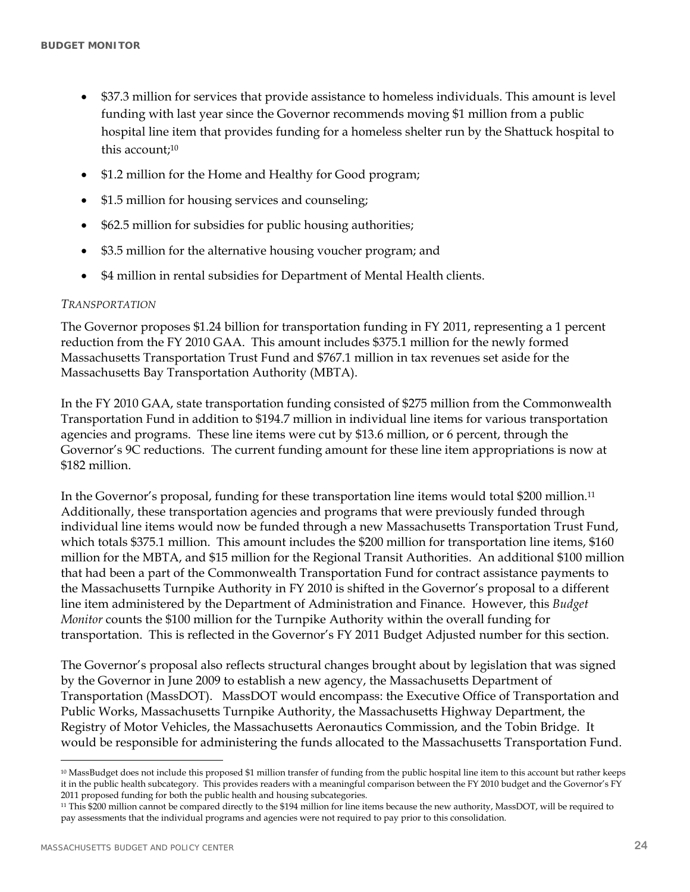- \$37.3 million for services that provide assistance to homeless individuals. This amount is level funding with last year since the Governor recommends moving \$1 million from a public hospital line item that provides funding for a homeless shelter run by the Shattuck hospital to this account;<sup>10</sup>
- \$1.2 million for the Home and Healthy for Good program;
- \$1.5 million for housing services and counseling;
- \$62.5 million for subsidies for public housing authorities;
- \$3.5 million for the alternative housing voucher program; and
- \$4 million in rental subsidies for Department of Mental Health clients.

#### *TRANSPORTATION*

The Governor proposes \$1.24 billion for transportation funding in FY 2011, representing a 1 percent reduction from the FY 2010 GAA. This amount includes \$375.1 million for the newly formed Massachusetts Transportation Trust Fund and \$767.1 million in tax revenues set aside for the Massachusetts Bay Transportation Authority (MBTA).

In the FY 2010 GAA, state transportation funding consisted of \$275 million from the Commonwealth Transportation Fund in addition to \$194.7 million in individual line items for various transportation agencies and programs. These line items were cut by \$13.6 million, or 6 percent, through the Governor's 9C reductions. The current funding amount for these line item appropriations is now at \$182 million.

In the Governor's proposal, funding for these transportation line items would total \$200 million.11 Additionally, these transportation agencies and programs that were previously funded through individual line items would now be funded through a new Massachusetts Transportation Trust Fund, which totals \$375.1 million. This amount includes the \$200 million for transportation line items, \$160 million for the MBTA, and \$15 million for the Regional Transit Authorities. An additional \$100 million that had been a part of the Commonwealth Transportation Fund for contract assistance payments to the Massachusetts Turnpike Authority in FY 2010 is shifted in the Governor's proposal to a different line item administered by the Department of Administration and Finance. However, this *Budget Monitor* counts the \$100 million for the Turnpike Authority within the overall funding for transportation. This is reflected in the Governor's FY 2011 Budget Adjusted number for this section.

The Governor's proposal also reflects structural changes brought about by legislation that was signed by the Governor in June 2009 to establish a new agency, the Massachusetts Department of Transportation (MassDOT). MassDOT would encompass: the Executive Office of Transportation and Public Works, Massachusetts Turnpike Authority, the Massachusetts Highway Department, the Registry of Motor Vehicles, the Massachusetts Aeronautics Commission, and the Tobin Bridge. It would be responsible for administering the funds allocated to the Massachusetts Transportation Fund.

 $\overline{a}$ 

<sup>10</sup> MassBudget does not include this proposed \$1 million transfer of funding from the public hospital line item to this account but rather keeps it in the public health subcategory. This provides readers with a meaningful comparison between the FY 2010 budget and the Governor's FY 2011 proposed funding for both the public health and housing subcategories.

<sup>11</sup> This \$200 million cannot be compared directly to the \$194 million for line items because the new authority, MassDOT, will be required to pay assessments that the individual programs and agencies were not required to pay prior to this consolidation.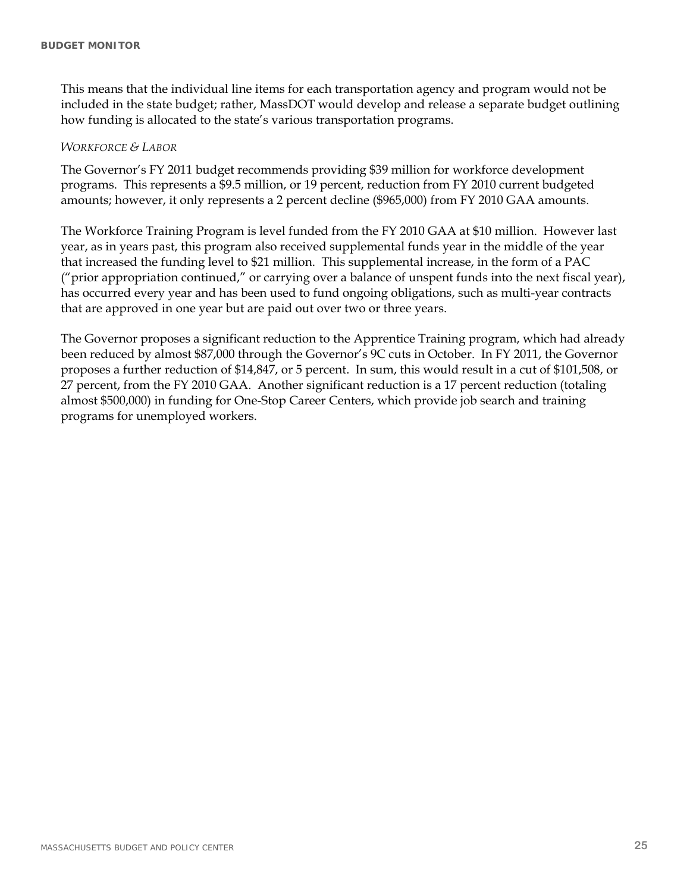This means that the individual line items for each transportation agency and program would not be included in the state budget; rather, MassDOT would develop and release a separate budget outlining how funding is allocated to the state's various transportation programs.

#### *WORKFORCE & LABOR*

The Governor's FY 2011 budget recommends providing \$39 million for workforce development programs. This represents a \$9.5 million, or 19 percent, reduction from FY 2010 current budgeted amounts; however, it only represents a 2 percent decline (\$965,000) from FY 2010 GAA amounts.

The Workforce Training Program is level funded from the FY 2010 GAA at \$10 million. However last year, as in years past, this program also received supplemental funds year in the middle of the year that increased the funding level to \$21 million. This supplemental increase, in the form of a PAC ("prior appropriation continued," or carrying over a balance of unspent funds into the next fiscal year), has occurred every year and has been used to fund ongoing obligations, such as multi-year contracts that are approved in one year but are paid out over two or three years.

The Governor proposes a significant reduction to the Apprentice Training program, which had already been reduced by almost \$87,000 through the Governor's 9C cuts in October. In FY 2011, the Governor proposes a further reduction of \$14,847, or 5 percent. In sum, this would result in a cut of \$101,508, or 27 percent, from the FY 2010 GAA. Another significant reduction is a 17 percent reduction (totaling almost \$500,000) in funding for One-Stop Career Centers, which provide job search and training programs for unemployed workers.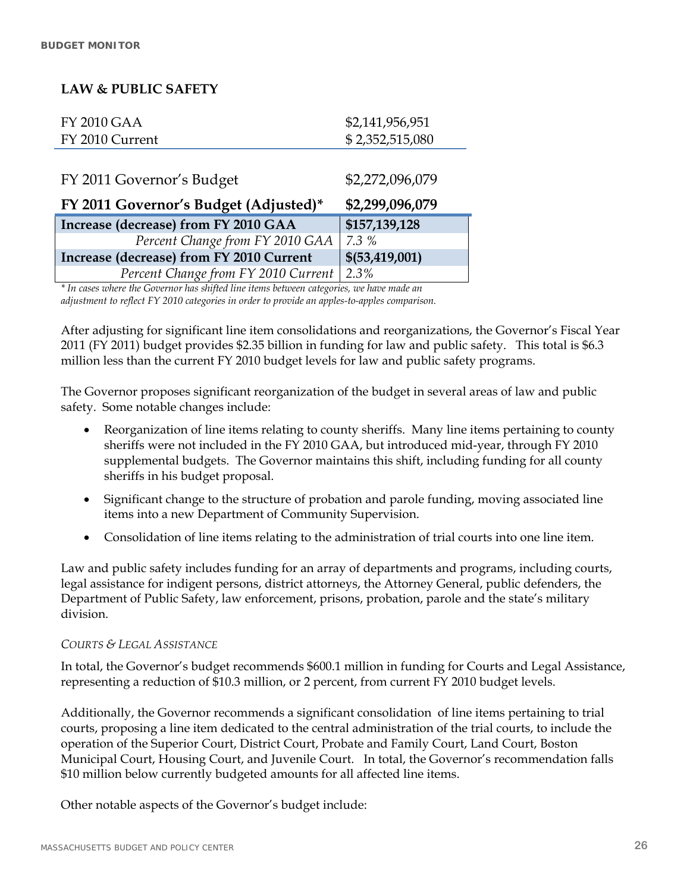### **LAW & PUBLIC SAFETY**

| <b>FY 2010 GAA</b>                       | \$2,141,956,951  |
|------------------------------------------|------------------|
| FY 2010 Current                          | \$2,352,515,080  |
|                                          |                  |
| FY 2011 Governor's Budget                | \$2,272,096,079  |
|                                          |                  |
| FY 2011 Governor's Budget (Adjusted)*    | \$2,299,096,079  |
| Increase (decrease) from FY 2010 GAA     | \$157,139,128    |
| Percent Change from FY 2010 GAA          | 7.3%             |
| Increase (decrease) from FY 2010 Current | \$(53, 419, 001) |

*\* In cases where the Governor has shifted line items between categories, we have made an adjustment to reflect FY 2010 categories in order to provide an apples-to-apples comparison.* 

After adjusting for significant line item consolidations and reorganizations, the Governor's Fiscal Year 2011 (FY 2011) budget provides \$2.35 billion in funding for law and public safety. This total is \$6.3 million less than the current FY 2010 budget levels for law and public safety programs.

The Governor proposes significant reorganization of the budget in several areas of law and public safety. Some notable changes include:

- Reorganization of line items relating to county sheriffs. Many line items pertaining to county sheriffs were not included in the FY 2010 GAA, but introduced mid-year, through FY 2010 supplemental budgets. The Governor maintains this shift, including funding for all county sheriffs in his budget proposal.
- Significant change to the structure of probation and parole funding, moving associated line items into a new Department of Community Supervision.
- Consolidation of line items relating to the administration of trial courts into one line item.

Law and public safety includes funding for an array of departments and programs, including courts, legal assistance for indigent persons, district attorneys, the Attorney General, public defenders, the Department of Public Safety, law enforcement, prisons, probation, parole and the state's military division.

#### *COURTS & LEGAL ASSISTANCE*

In total, the Governor's budget recommends \$600.1 million in funding for Courts and Legal Assistance, representing a reduction of \$10.3 million, or 2 percent, from current FY 2010 budget levels.

Additionally, the Governor recommends a significant consolidation of line items pertaining to trial courts, proposing a line item dedicated to the central administration of the trial courts, to include the operation of the Superior Court, District Court, Probate and Family Court, Land Court, Boston Municipal Court, Housing Court, and Juvenile Court. In total, the Governor's recommendation falls \$10 million below currently budgeted amounts for all affected line items.

Other notable aspects of the Governor's budget include: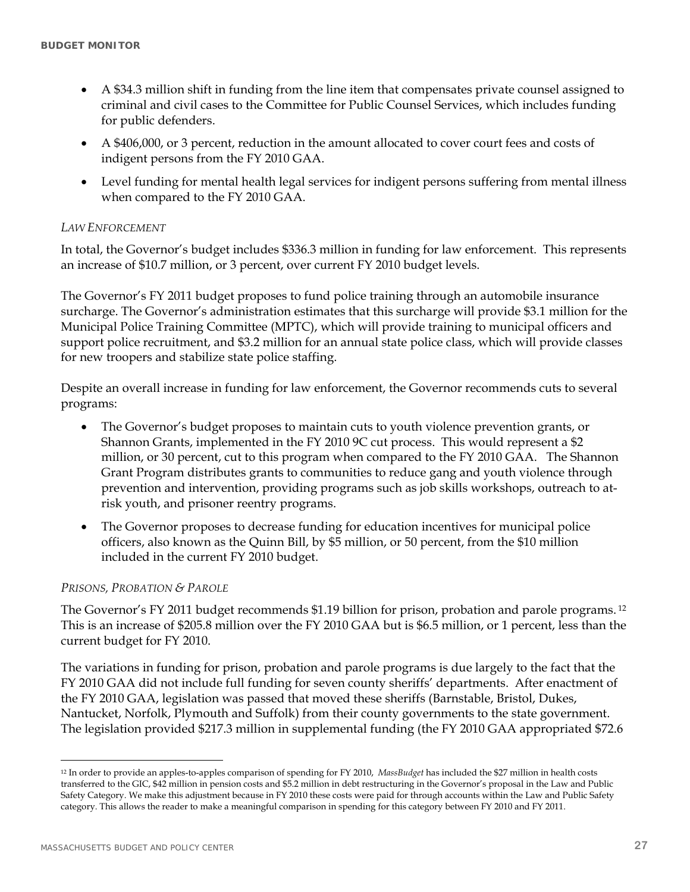- A \$34.3 million shift in funding from the line item that compensates private counsel assigned to criminal and civil cases to the Committee for Public Counsel Services, which includes funding for public defenders.
- A \$406,000, or 3 percent, reduction in the amount allocated to cover court fees and costs of indigent persons from the FY 2010 GAA.
- Level funding for mental health legal services for indigent persons suffering from mental illness when compared to the FY 2010 GAA.

### *LAW ENFORCEMENT*

In total, the Governor's budget includes \$336.3 million in funding for law enforcement. This represents an increase of \$10.7 million, or 3 percent, over current FY 2010 budget levels.

The Governor's FY 2011 budget proposes to fund police training through an automobile insurance surcharge. The Governor's administration estimates that this surcharge will provide \$3.1 million for the Municipal Police Training Committee (MPTC), which will provide training to municipal officers and support police recruitment, and \$3.2 million for an annual state police class, which will provide classes for new troopers and stabilize state police staffing.

Despite an overall increase in funding for law enforcement, the Governor recommends cuts to several programs:

- The Governor's budget proposes to maintain cuts to youth violence prevention grants, or Shannon Grants, implemented in the FY 2010 9C cut process. This would represent a \$2 million, or 30 percent, cut to this program when compared to the FY 2010 GAA. The Shannon Grant Program distributes grants to communities to reduce gang and youth violence through prevention and intervention, providing programs such as job skills workshops, outreach to atrisk youth, and prisoner reentry programs.
- The Governor proposes to decrease funding for education incentives for municipal police officers, also known as the Quinn Bill, by \$5 million, or 50 percent, from the \$10 million included in the current FY 2010 budget.

#### *PRISONS, PROBATION & PAROLE*

The Governor's FY 2011 budget recommends \$1.19 billion for prison, probation and parole programs. 12 This is an increase of \$205.8 million over the FY 2010 GAA but is \$6.5 million, or 1 percent, less than the current budget for FY 2010.

The variations in funding for prison, probation and parole programs is due largely to the fact that the FY 2010 GAA did not include full funding for seven county sheriffs' departments. After enactment of the FY 2010 GAA, legislation was passed that moved these sheriffs (Barnstable, Bristol, Dukes, Nantucket, Norfolk, Plymouth and Suffolk) from their county governments to the state government. The legislation provided \$217.3 million in supplemental funding (the FY 2010 GAA appropriated \$72.6

 $\overline{a}$ 

<sup>12</sup> In order to provide an apples-to-apples comparison of spending for FY 2010, *MassBudget* has included the \$27 million in health costs transferred to the GIC, \$42 million in pension costs and \$5.2 million in debt restructuring in the Governor's proposal in the Law and Public Safety Category. We make this adjustment because in FY 2010 these costs were paid for through accounts within the Law and Public Safety category. This allows the reader to make a meaningful comparison in spending for this category between FY 2010 and FY 2011.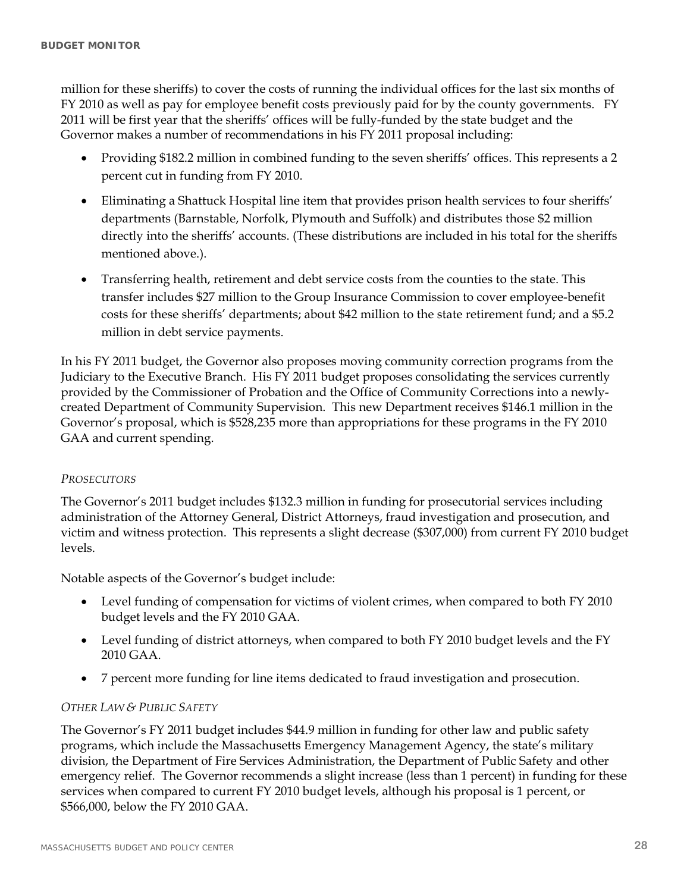million for these sheriffs) to cover the costs of running the individual offices for the last six months of FY 2010 as well as pay for employee benefit costs previously paid for by the county governments. FY 2011 will be first year that the sheriffs' offices will be fully-funded by the state budget and the Governor makes a number of recommendations in his FY 2011 proposal including:

- Providing \$182.2 million in combined funding to the seven sheriffs' offices. This represents a 2 percent cut in funding from FY 2010.
- Eliminating a Shattuck Hospital line item that provides prison health services to four sheriffs' departments (Barnstable, Norfolk, Plymouth and Suffolk) and distributes those \$2 million directly into the sheriffs' accounts. (These distributions are included in his total for the sheriffs mentioned above.).
- Transferring health, retirement and debt service costs from the counties to the state. This transfer includes \$27 million to the Group Insurance Commission to cover employee-benefit costs for these sheriffs' departments; about \$42 million to the state retirement fund; and a \$5.2 million in debt service payments.

In his FY 2011 budget, the Governor also proposes moving community correction programs from the Judiciary to the Executive Branch. His FY 2011 budget proposes consolidating the services currently provided by the Commissioner of Probation and the Office of Community Corrections into a newlycreated Department of Community Supervision. This new Department receives \$146.1 million in the Governor's proposal, which is \$528,235 more than appropriations for these programs in the FY 2010 GAA and current spending.

### *PROSECUTORS*

The Governor's 2011 budget includes \$132.3 million in funding for prosecutorial services including administration of the Attorney General, District Attorneys, fraud investigation and prosecution, and victim and witness protection. This represents a slight decrease (\$307,000) from current FY 2010 budget levels.

Notable aspects of the Governor's budget include:

- Level funding of compensation for victims of violent crimes, when compared to both FY 2010 budget levels and the FY 2010 GAA.
- Level funding of district attorneys, when compared to both FY 2010 budget levels and the FY 2010 GAA.
- 7 percent more funding for line items dedicated to fraud investigation and prosecution.

### *OTHER LAW & PUBLIC SAFETY*

The Governor's FY 2011 budget includes \$44.9 million in funding for other law and public safety programs, which include the Massachusetts Emergency Management Agency, the state's military division, the Department of Fire Services Administration, the Department of Public Safety and other emergency relief. The Governor recommends a slight increase (less than 1 percent) in funding for these services when compared to current FY 2010 budget levels, although his proposal is 1 percent, or \$566,000, below the FY 2010 GAA.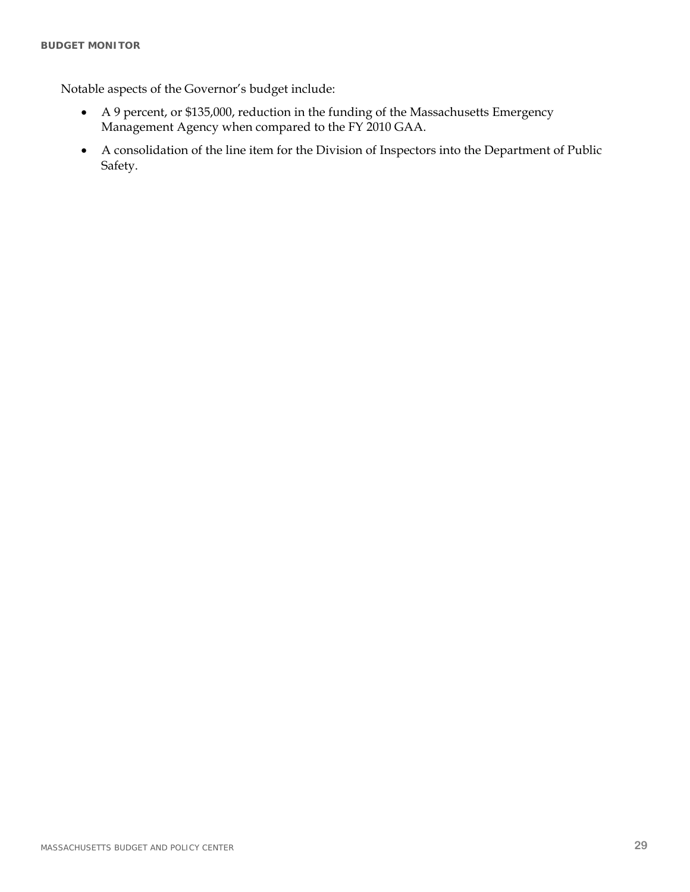Notable aspects of the Governor's budget include:

- A 9 percent, or \$135,000, reduction in the funding of the Massachusetts Emergency Management Agency when compared to the FY 2010 GAA.
- A consolidation of the line item for the Division of Inspectors into the Department of Public Safety.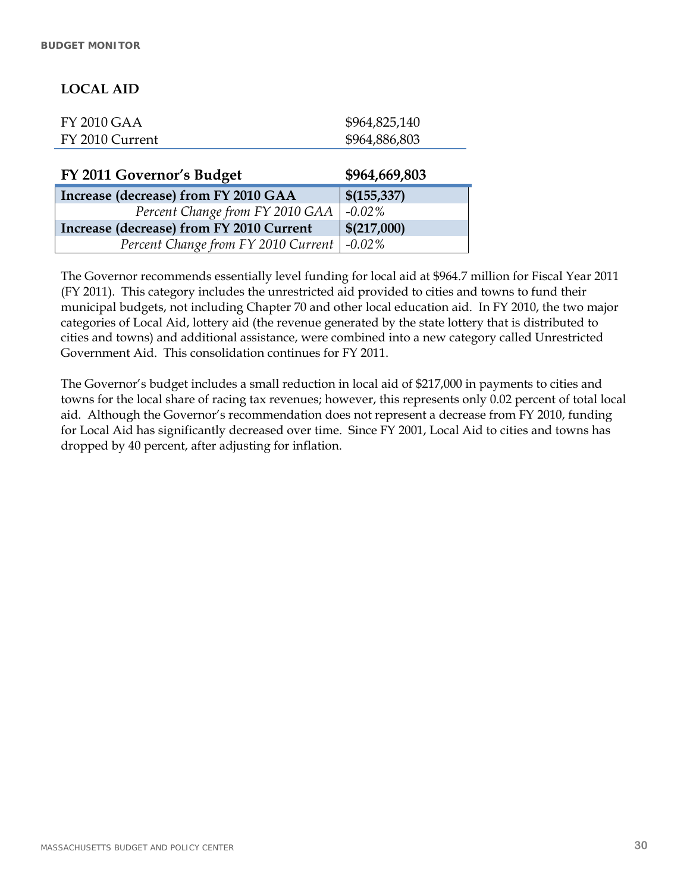### **LOCAL AID**

| <b>FY 2010 GAA</b> | \$964,825,140 |
|--------------------|---------------|
| FY 2010 Current    | \$964,886,803 |

| FY 2011 Governor's Budget                    | \$964,669,803 |
|----------------------------------------------|---------------|
| Increase (decrease) from FY 2010 GAA         | \$(155, 337)  |
| Percent Change from FY 2010 GAA              | $-0.02\%$     |
| Increase (decrease) from FY 2010 Current     | \$(217,000)   |
| Percent Change from FY 2010 Current   -0.02% |               |

The Governor recommends essentially level funding for local aid at \$964.7 million for Fiscal Year 2011 (FY 2011). This category includes the unrestricted aid provided to cities and towns to fund their municipal budgets, not including Chapter 70 and other local education aid. In FY 2010, the two major categories of Local Aid, lottery aid (the revenue generated by the state lottery that is distributed to cities and towns) and additional assistance, were combined into a new category called Unrestricted Government Aid. This consolidation continues for FY 2011.

The Governor's budget includes a small reduction in local aid of \$217,000 in payments to cities and towns for the local share of racing tax revenues; however, this represents only 0.02 percent of total local aid. Although the Governor's recommendation does not represent a decrease from FY 2010, funding for Local Aid has significantly decreased over time. Since FY 2001, Local Aid to cities and towns has dropped by 40 percent, after adjusting for inflation.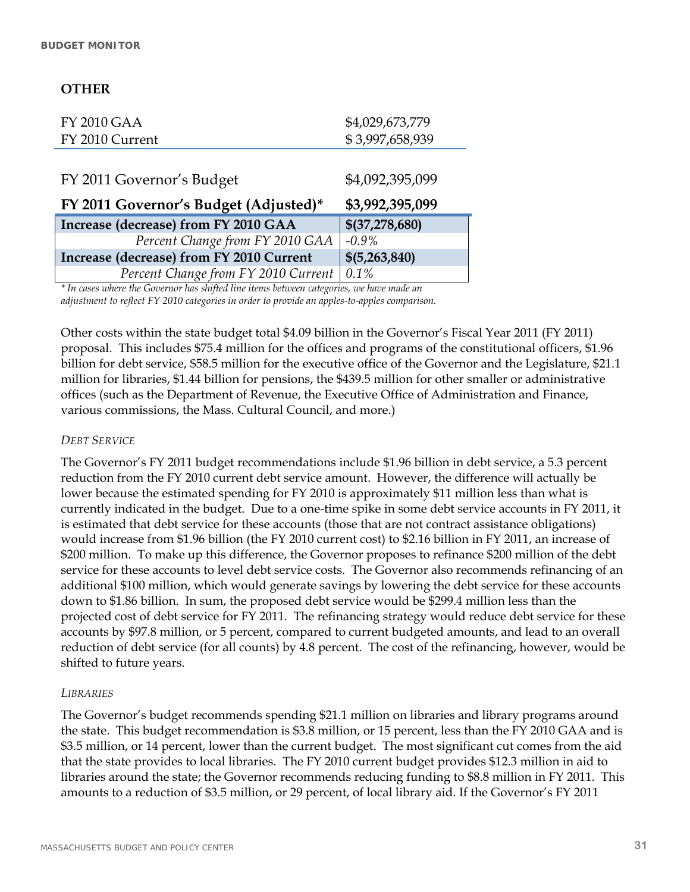### **OTHER**

| <b>FY 2010 GAA</b>                              | \$4,029,673,779 |
|-------------------------------------------------|-----------------|
| FY 2010 Current                                 | \$3,997,658,939 |
|                                                 |                 |
| FY 2011 Governor's Budget                       | \$4,092,395,099 |
|                                                 |                 |
| FY 2011 Governor's Budget (Adjusted)*           | \$3,992,395,099 |
| Increase (decrease) from FY 2010 GAA            | \$(37,278,680)  |
| Percent Change from FY 2010 GAA                 | $-0.9\%$        |
| <b>Increase (decrease) from FY 2010 Current</b> | \$(5,263,840)   |

*\* In cases where the Governor has shifted line items between categories, we have made an adjustment to reflect FY 2010 categories in order to provide an apples-to-apples comparison.* 

Other costs within the state budget total \$4.09 billion in the Governor's Fiscal Year 2011 (FY 2011) proposal. This includes \$75.4 million for the offices and programs of the constitutional officers, \$1.96 billion for debt service, \$58.5 million for the executive office of the Governor and the Legislature, \$21.1 million for libraries, \$1.44 billion for pensions, the \$439.5 million for other smaller or administrative offices (such as the Department of Revenue, the Executive Office of Administration and Finance, various commissions, the Mass. Cultural Council, and more.)

### *DEBT SERVICE*

The Governor's FY 2011 budget recommendations include \$1.96 billion in debt service, a 5.3 percent reduction from the FY 2010 current debt service amount. However, the difference will actually be lower because the estimated spending for FY 2010 is approximately \$11 million less than what is currently indicated in the budget. Due to a one-time spike in some debt service accounts in FY 2011, it is estimated that debt service for these accounts (those that are not contract assistance obligations) would increase from \$1.96 billion (the FY 2010 current cost) to \$2.16 billion in FY 2011, an increase of \$200 million. To make up this difference, the Governor proposes to refinance \$200 million of the debt service for these accounts to level debt service costs. The Governor also recommends refinancing of an additional \$100 million, which would generate savings by lowering the debt service for these accounts down to \$1.86 billion. In sum, the proposed debt service would be \$299.4 million less than the projected cost of debt service for FY 2011. The refinancing strategy would reduce debt service for these accounts by \$97.8 million, or 5 percent, compared to current budgeted amounts, and lead to an overall reduction of debt service (for all counts) by 4.8 percent. The cost of the refinancing, however, would be shifted to future years.

#### *LIBRARIES*

The Governor's budget recommends spending \$21.1 million on libraries and library programs around the state. This budget recommendation is \$3.8 million, or 15 percent, less than the FY 2010 GAA and is \$3.5 million, or 14 percent, lower than the current budget. The most significant cut comes from the aid that the state provides to local libraries. The FY 2010 current budget provides \$12.3 million in aid to libraries around the state; the Governor recommends reducing funding to \$8.8 million in FY 2011. This amounts to a reduction of \$3.5 million, or 29 percent, of local library aid. If the Governor's FY 2011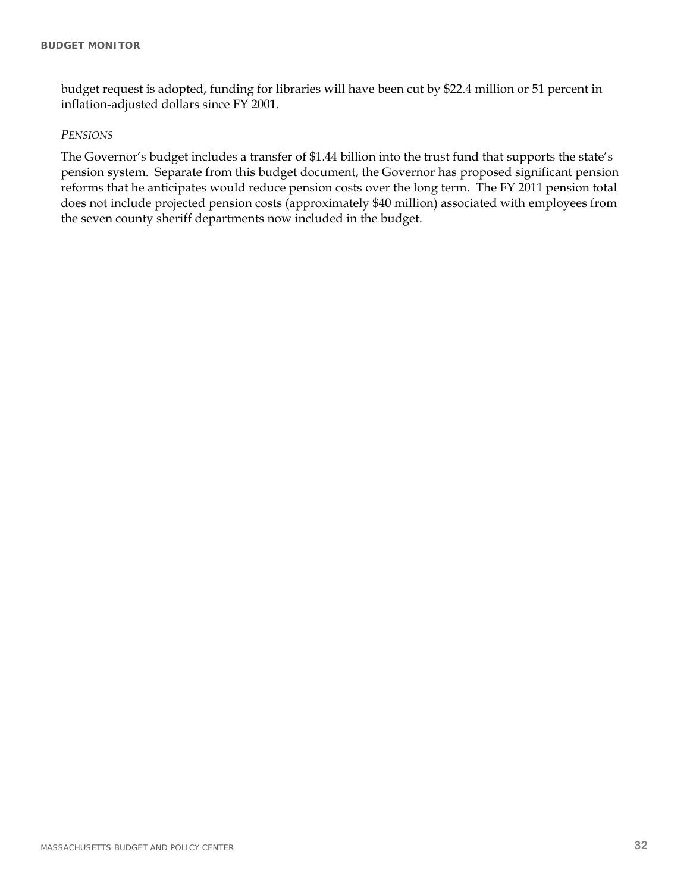budget request is adopted, funding for libraries will have been cut by \$22.4 million or 51 percent in inflation-adjusted dollars since FY 2001.

#### *PENSIONS*

The Governor's budget includes a transfer of \$1.44 billion into the trust fund that supports the state's pension system. Separate from this budget document, the Governor has proposed significant pension reforms that he anticipates would reduce pension costs over the long term. The FY 2011 pension total does not include projected pension costs (approximately \$40 million) associated with employees from the seven county sheriff departments now included in the budget.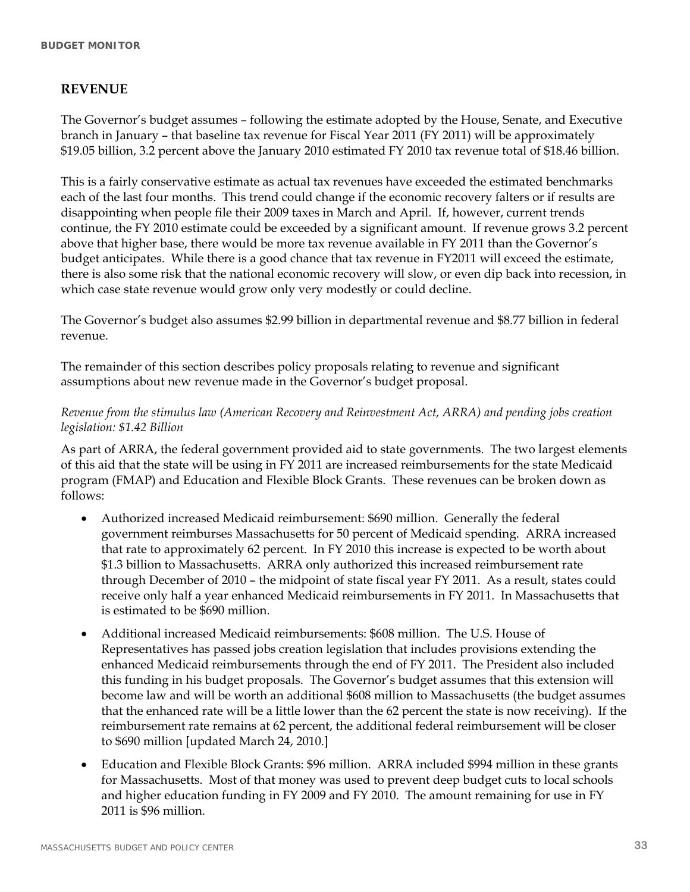### **REVENUE**

The Governor's budget assumes – following the estimate adopted by the House, Senate, and Executive branch in January – that baseline tax revenue for Fiscal Year 2011 (FY 2011) will be approximately \$19.05 billion, 3.2 percent above the January 2010 estimated FY 2010 tax revenue total of \$18.46 billion.

This is a fairly conservative estimate as actual tax revenues have exceeded the estimated benchmarks each of the last four months. This trend could change if the economic recovery falters or if results are disappointing when people file their 2009 taxes in March and April. If, however, current trends continue, the FY 2010 estimate could be exceeded by a significant amount. If revenue grows 3.2 percent above that higher base, there would be more tax revenue available in FY 2011 than the Governor's budget anticipates. While there is a good chance that tax revenue in FY2011 will exceed the estimate, there is also some risk that the national economic recovery will slow, or even dip back into recession, in which case state revenue would grow only very modestly or could decline.

The Governor's budget also assumes \$2.99 billion in departmental revenue and \$8.77 billion in federal revenue.

The remainder of this section describes policy proposals relating to revenue and significant assumptions about new revenue made in the Governor's budget proposal.

### *Revenue from the stimulus law (American Recovery and Reinvestment Act, ARRA) and pending jobs creation legislation: \$1.42 Billion*

As part of ARRA, the federal government provided aid to state governments. The two largest elements of this aid that the state will be using in FY 2011 are increased reimbursements for the state Medicaid program (FMAP) and Education and Flexible Block Grants. These revenues can be broken down as follows:

- Authorized increased Medicaid reimbursement: \$690 million. Generally the federal government reimburses Massachusetts for 50 percent of Medicaid spending. ARRA increased that rate to approximately 62 percent. In FY 2010 this increase is expected to be worth about \$1.3 billion to Massachusetts. ARRA only authorized this increased reimbursement rate through December of 2010 – the midpoint of state fiscal year FY 2011. As a result, states could receive only half a year enhanced Medicaid reimbursements in FY 2011. In Massachusetts that is estimated to be \$690 million.
- Additional increased Medicaid reimbursements: \$608 million. The U.S. House of Representatives has passed jobs creation legislation that includes provisions extending the enhanced Medicaid reimbursements through the end of FY 2011. The President also included this funding in his budget proposals. The Governor's budget assumes that this extension will become law and will be worth an additional \$608 million to Massachusetts (the budget assumes that the enhanced rate will be a little lower than the 62 percent the state is now receiving). If the reimbursement rate remains at 62 percent, the additional federal reimbursement will be closer to \$690 million [updated March 24, 2010.]
- Education and Flexible Block Grants: \$96 million. ARRA included \$994 million in these grants for Massachusetts. Most of that money was used to prevent deep budget cuts to local schools and higher education funding in FY 2009 and FY 2010. The amount remaining for use in FY 2011 is \$96 million.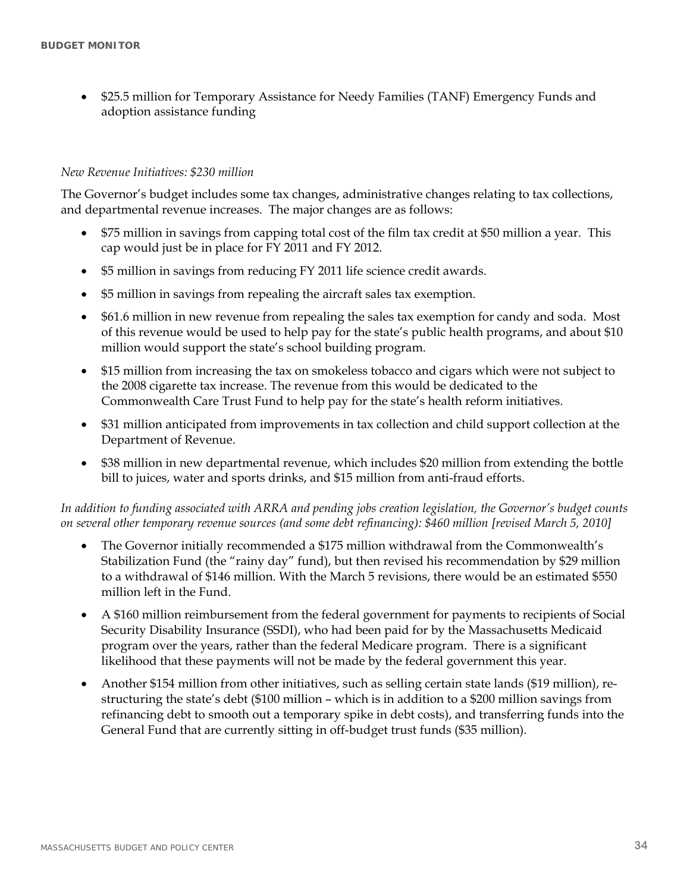\$25.5 million for Temporary Assistance for Needy Families (TANF) Emergency Funds and adoption assistance funding

#### *New Revenue Initiatives: \$230 million*

The Governor's budget includes some tax changes, administrative changes relating to tax collections, and departmental revenue increases. The major changes are as follows:

- \$75 million in savings from capping total cost of the film tax credit at \$50 million a year. This cap would just be in place for FY 2011 and FY 2012.
- \$5 million in savings from reducing FY 2011 life science credit awards.
- \$5 million in savings from repealing the aircraft sales tax exemption.
- \$61.6 million in new revenue from repealing the sales tax exemption for candy and soda. Most of this revenue would be used to help pay for the state's public health programs, and about \$10 million would support the state's school building program.
- \$15 million from increasing the tax on smokeless tobacco and cigars which were not subject to the 2008 cigarette tax increase. The revenue from this would be dedicated to the Commonwealth Care Trust Fund to help pay for the state's health reform initiatives.
- \$31 million anticipated from improvements in tax collection and child support collection at the Department of Revenue.
- \$38 million in new departmental revenue, which includes \$20 million from extending the bottle bill to juices, water and sports drinks, and \$15 million from anti-fraud efforts.

*In addition to funding associated with ARRA and pending jobs creation legislation, the Governor's budget counts on several other temporary revenue sources (and some debt refinancing): \$460 million [revised March 5, 2010]* 

- The Governor initially recommended a \$175 million withdrawal from the Commonwealth's Stabilization Fund (the "rainy day" fund), but then revised his recommendation by \$29 million to a withdrawal of \$146 million. With the March 5 revisions, there would be an estimated \$550 million left in the Fund.
- A \$160 million reimbursement from the federal government for payments to recipients of Social Security Disability Insurance (SSDI), who had been paid for by the Massachusetts Medicaid program over the years, rather than the federal Medicare program. There is a significant likelihood that these payments will not be made by the federal government this year.
- Another \$154 million from other initiatives, such as selling certain state lands (\$19 million), restructuring the state's debt (\$100 million – which is in addition to a \$200 million savings from refinancing debt to smooth out a temporary spike in debt costs), and transferring funds into the General Fund that are currently sitting in off-budget trust funds (\$35 million).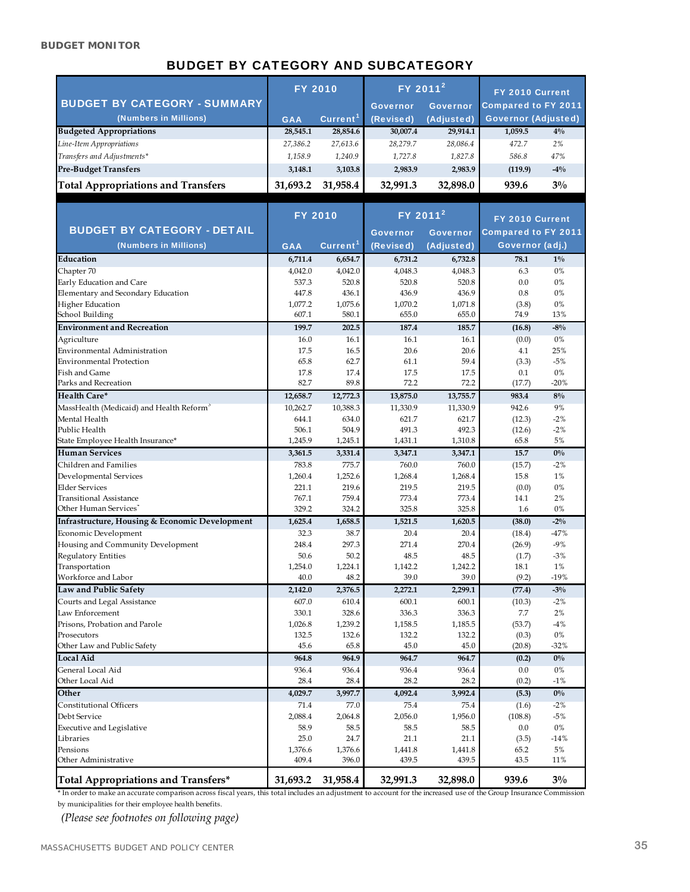#### **BUDGET MONITOR**

### BUDGET BY CATEGORY AND SUBCATEGORY

|                                           | <b>FY 2010</b> |                      | $FY$ 2011 <sup>2</sup> |                 | FY 2010 Current |                            |
|-------------------------------------------|----------------|----------------------|------------------------|-----------------|-----------------|----------------------------|
| <b>BUDGET BY CATEGORY - SUMMARY</b>       |                |                      | <b>Governor</b>        | <b>Governor</b> |                 | <b>Compared to FY 2011</b> |
| (Numbers in Millions)                     | <b>GAA</b>     | Current <sup>1</sup> | (Revised)              | (Adjusted)      |                 | <b>Governor (Adjusted)</b> |
| <b>Budgeted Appropriations</b>            | 28,545.1       | 28,854.6             | 30,007.4               | 29,914.1        | 1,059.5         | $4\%$                      |
| Line-Item Appropriations                  | 27,386.2       | 27,613.6             | 28,279.7               | 28,086.4        | 472.7           | 2%                         |
| Transfers and Adjustments*                | 1.158.9        | 1,240.9              | 1.727.8                | 1,827.8         | 586.8           | 47%                        |
| <b>Pre-Budget Transfers</b>               | 3.148.1        | 3,103.8              | 2,983.9                | 2,983.9         | (119.9)         | $-4\%$                     |
| <b>Total Appropriations and Transfers</b> | 31,693.2       | 31,958.4             | 32,991.3               | 32,898.0        | 939.6           | $3\%$                      |
|                                           |                |                      |                        |                 |                 |                            |

|                                                           |                  | <b>FY 2010</b>       | FY 2011 <sup>2</sup> |                  | FY 2010 Current            |           |
|-----------------------------------------------------------|------------------|----------------------|----------------------|------------------|----------------------------|-----------|
| <b>BUDGET BY CATEGORY - DETAIL</b>                        |                  |                      | <b>Governor</b>      | <b>Governor</b>  | <b>Compared to FY 2011</b> |           |
| (Numbers in Millions)                                     | <b>GAA</b>       | Current <sup>1</sup> | (Revised)            | (Adjusted)       | Governor (adj.)            |           |
| Education                                                 | 6,711.4          | 6,654.7              | 6,731.2              | 6,732.8          | 78.1                       | $1\%$     |
| Chapter 70                                                | 4,042.0          | 4,042.0              | 4,048.3              | 4,048.3          | 6.3                        | 0%        |
| Early Education and Care                                  | 537.3            | 520.8                | 520.8                | 520.8            | 0.0                        | 0%        |
| Elementary and Secondary Education                        | 447.8            | 436.1                | 436.9                | 436.9            | 0.8                        | $0\%$     |
| Higher Education                                          | 1,077.2          | 1,075.6              | 1,070.2              | 1,071.8          | (3.8)                      | $0\%$     |
| School Building                                           | 607.1            | 580.1                | 655.0                | 655.0            | 74.9                       | 13%       |
| <b>Environment and Recreation</b>                         | 199.7            | 202.5                | 187.4                | 185.7            | (16.8)                     | $-8\%$    |
| Agriculture                                               | 16.0             | 16.1                 | 16.1                 | 16.1             | (0.0)                      | $0\%$     |
| Environmental Administration                              | 17.5             | 16.5                 | 20.6                 | 20.6             | 4.1                        | 25%       |
| <b>Environmental Protection</b>                           | 65.8             | 62.7                 | 61.1                 | 59.4             | (3.3)                      | $-5%$     |
| Fish and Game                                             | 17.8             | 17.4                 | 17.5                 | 17.5             | 0.1                        | $0\%$     |
| Parks and Recreation                                      | 82.7             | 89.8                 | 72.2                 | 72.2             | (17.7)                     | $-20%$    |
| <b>Health Care*</b>                                       | 12,658.7         | 12,772.3             | 13,875.0             | 13,755.7         | 983.4                      | $8\%$     |
| MassHealth (Medicaid) and Health Reform <sup>3</sup>      | 10,262.7         | 10,388.3             | 11,330.9             | 11,330.9         | 942.6                      | 9%        |
| Mental Health                                             | 644.1            | 634.0                | 621.7                | 621.7            | (12.3)                     | $-2%$     |
| Public Health                                             | 506.1            | 504.9                | 491.3                | 492.3            | (12.6)                     | $-2%$     |
| State Employee Health Insurance*                          | 1,245.9          | 1,245.1              | 1,431.1              | 1,310.8          | 65.8                       | 5%        |
| <b>Human Services</b>                                     | 3,361.5          | 3,331.4              | 3,347.1              | 3,347.1          | 15.7                       | $0\%$     |
| Children and Families                                     | 783.8            | 775.7                | 760.0                | 760.0            | (15.7)                     | $-2%$     |
| Developmental Services                                    | 1,260.4          | 1,252.6              | 1,268.4              | 1,268.4          | 15.8                       | 1%        |
| <b>Elder Services</b>                                     | 221.1            | 219.6                | 219.5                | 219.5            | (0.0)                      | $0\%$     |
| Transitional Assistance                                   | 767.1            | 759.4                | 773.4                | 773.4            | 14.1                       | 2%        |
| Other Human Services                                      | 329.2            | 324.2                | 325.8                | 325.8            | 1.6                        | 0%        |
| <b>Infrastructure, Housing &amp; Economic Development</b> | 1,625.4          | 1,658.5              | 1,521.5              | 1,620.5          | (38.0)                     | $-2\%$    |
| Economic Development                                      | 32.3             | 38.7                 | 20.4                 | 20.4             | (18.4)                     | $-47%$    |
| Housing and Community Development                         | 248.4            | 297.3                | 271.4                | 270.4            | (26.9)                     | $-9%$     |
| <b>Regulatory Entities</b>                                | 50.6             | 50.2                 | 48.5                 | 48.5             | (1.7)                      | $-3%$     |
| Transportation                                            | 1,254.0          | 1,224.1              | 1,142.2              | 1,242.2          | 18.1                       | 1%        |
| Workforce and Labor                                       | 40.0             | 48.2                 | 39.0                 | 39.0             | (9.2)                      | $-19%$    |
| Law and Public Safety                                     | 2,142.0          | 2,376.5              | 2,272.1              | 2,299.1          | (77.4)                     | $-3\%$    |
| Courts and Legal Assistance                               | 607.0            | 610.4                | 600.1                | 600.1            | (10.3)                     | $-2%$     |
| Law Enforcement                                           | 330.1            | 328.6                | 336.3                | 336.3            | 7.7                        | 2%        |
| Prisons, Probation and Parole                             | 1,026.8          | 1,239.2              | 1,158.5              | 1,185.5          | (53.7)                     | $-4%$     |
| Prosecutors                                               | 132.5            | 132.6                | 132.2                | 132.2            | (0.3)                      | $0\%$     |
| Other Law and Public Safety                               | 45.6             | 65.8                 | 45.0                 | 45.0             | (20.8)                     | $-32%$    |
| <b>Local Aid</b>                                          | 964.8            | 964.9                | 964.7                | 964.7            | (0.2)                      | $0\%$     |
| General Local Aid                                         | 936.4            | 936.4                | 936.4                | 936.4            | 0.0                        | $0\%$     |
| Other Local Aid                                           | 28.4             | 28.4                 | 28.2                 | 28.2             | (0.2)                      | $-1%$     |
| Other                                                     | 4,029.7          | 3,997.7              | 4,092.4              | 3,992.4          | (5.3)                      | $0\%$     |
| <b>Constitutional Officers</b>                            | 71.4             | 77.0                 | 75.4                 | 75.4             | (1.6)                      | $-2%$     |
| Debt Service                                              | 2,088.4          | 2,064.8              | 2,056.0              | 1,956.0          | (108.8)                    | $-5%$     |
| <b>Executive and Legislative</b>                          | 58.9             | 58.5                 | 58.5                 | 58.5             | 0.0                        | 0%        |
| Libraries                                                 | 25.0             | 24.7                 | 21.1                 | 21.1             | (3.5)                      | $-14%$    |
| Pensions<br>Other Administrative                          | 1,376.6<br>409.4 | 1,376.6<br>396.0     | 1,441.8<br>439.5     | 1,441.8<br>439.5 | 65.2<br>43.5               | 5%<br>11% |
|                                                           |                  |                      |                      |                  |                            |           |
| Total Appropriations and Transfers*                       | 31,693.2         | 31,958.4             | 32,991.3             | 32,898.0         | 939.6                      | $3\%$     |

\* In order to make an accurate comparison across fiscal years, this total includes an adjustment to account for the increased use of the Group Insurance Commission

by municipalities for their employee health benefits.

*(Please see footnotes on following page)*